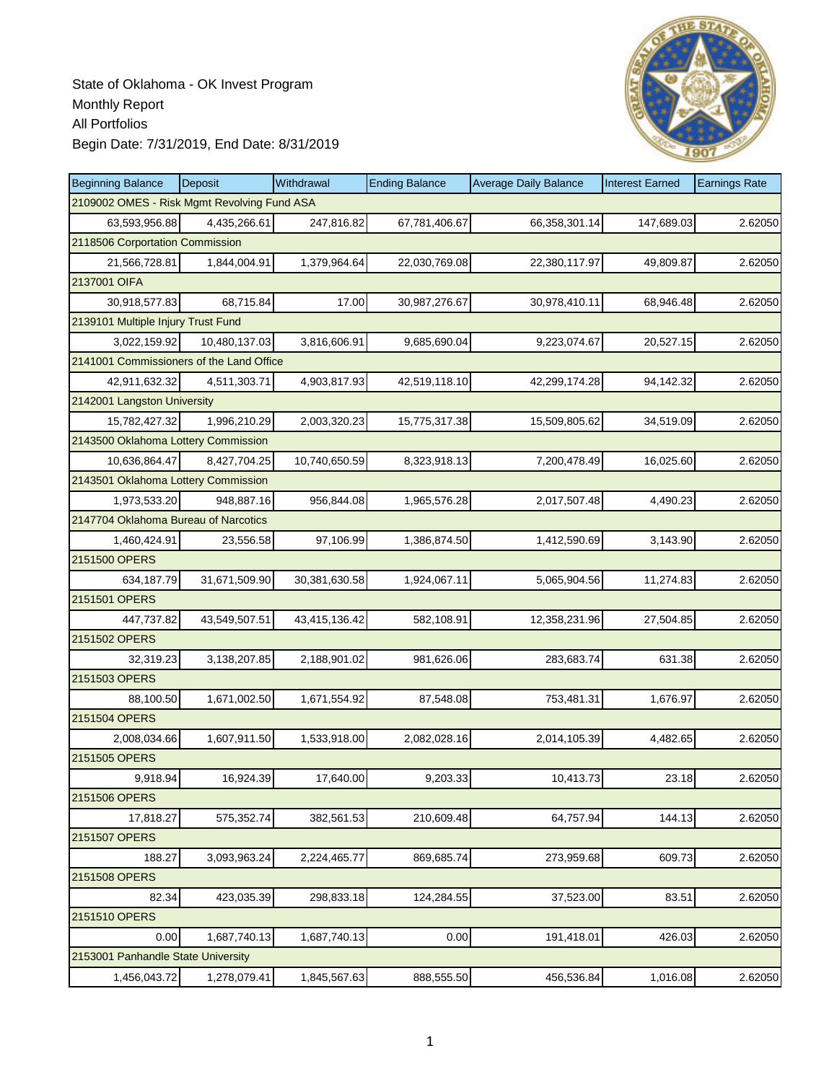

| <b>Beginning Balance</b>                    | Deposit       | Withdrawal    | <b>Ending Balance</b> | <b>Average Daily Balance</b> | <b>Interest Earned</b> | <b>Earnings Rate</b> |
|---------------------------------------------|---------------|---------------|-----------------------|------------------------------|------------------------|----------------------|
| 2109002 OMES - Risk Mgmt Revolving Fund ASA |               |               |                       |                              |                        |                      |
| 63,593,956.88                               | 4,435,266.61  | 247,816.82    | 67,781,406.67         | 66,358,301.14                | 147,689.03             | 2.62050              |
| 2118506 Corportation Commission             |               |               |                       |                              |                        |                      |
| 21,566,728.81                               | 1,844,004.91  | 1,379,964.64  | 22,030,769.08         | 22,380,117.97                | 49,809.87              | 2.62050              |
| 2137001 OIFA                                |               |               |                       |                              |                        |                      |
| 30,918,577.83                               | 68,715.84     | 17.00         | 30,987,276.67         | 30,978,410.11                | 68,946.48              | 2.62050              |
| 2139101 Multiple Injury Trust Fund          |               |               |                       |                              |                        |                      |
| 3,022,159.92                                | 10,480,137.03 | 3,816,606.91  | 9,685,690.04          | 9,223,074.67                 | 20,527.15              | 2.62050              |
| 2141001 Commissioners of the Land Office    |               |               |                       |                              |                        |                      |
| 42,911,632.32                               | 4,511,303.71  | 4,903,817.93  | 42,519,118.10         | 42,299,174.28                | 94,142.32              | 2.62050              |
| 2142001 Langston University                 |               |               |                       |                              |                        |                      |
| 15,782,427.32                               | 1,996,210.29  | 2,003,320.23  | 15,775,317.38         | 15,509,805.62                | 34,519.09              | 2.62050              |
| 2143500 Oklahoma Lottery Commission         |               |               |                       |                              |                        |                      |
| 10,636,864.47                               | 8.427.704.25  | 10,740,650.59 | 8,323,918.13          | 7,200,478.49                 | 16,025.60              | 2.62050              |
| 2143501 Oklahoma Lottery Commission         |               |               |                       |                              |                        |                      |
| 1,973,533.20                                | 948,887.16    | 956,844.08    | 1,965,576.28          | 2,017,507.48                 | 4,490.23               | 2.62050              |
| 2147704 Oklahoma Bureau of Narcotics        |               |               |                       |                              |                        |                      |
| 1,460,424.91                                | 23,556.58     | 97,106.99     | 1,386,874.50          | 1,412,590.69                 | 3,143.90               | 2.62050              |
| 2151500 OPERS                               |               |               |                       |                              |                        |                      |
| 634,187.79                                  | 31,671,509.90 | 30,381,630.58 | 1,924,067.11          | 5,065,904.56                 | 11,274.83              | 2.62050              |
| 2151501 OPERS                               |               |               |                       |                              |                        |                      |
| 447,737.82                                  | 43,549,507.51 | 43,415,136.42 | 582,108.91            | 12,358,231.96                | 27,504.85              | 2.62050              |
| 2151502 OPERS                               |               |               |                       |                              |                        |                      |
| 32,319.23                                   | 3,138,207.85  | 2,188,901.02  | 981,626.06            | 283,683.74                   | 631.38                 | 2.62050              |
| 2151503 OPERS                               |               |               |                       |                              |                        |                      |
| 88,100.50                                   | 1,671,002.50  | 1,671,554.92  | 87,548.08             | 753,481.31                   | 1,676.97               | 2.62050              |
| 2151504 OPERS                               |               |               |                       |                              |                        |                      |
| 2,008,034.66                                | 1,607,911.50  | 1,533,918.00  | 2,082,028.16          | 2,014,105.39                 | 4,482.65               | 2.62050              |
| 2151505 OPERS                               |               |               |                       |                              |                        |                      |
| 9,918.94                                    | 16,924.39     | 17,640.00     | 9,203.33              | 10,413.73                    | 23.18                  | 2.62050              |
| 2151506 OPERS                               |               |               |                       |                              |                        |                      |
| 17,818.27                                   | 575,352.74    | 382,561.53    | 210,609.48            | 64,757.94                    | 144.13                 | 2.62050              |
| 2151507 OPERS                               |               |               |                       |                              |                        |                      |
| 188.27                                      | 3,093,963.24  | 2,224,465.77  | 869,685.74            | 273,959.68                   | 609.73                 | 2.62050              |
| 2151508 OPERS                               |               |               |                       |                              |                        |                      |
| 82.34                                       | 423,035.39    | 298,833.18    | 124,284.55            | 37,523.00                    | 83.51                  | 2.62050              |
| 2151510 OPERS                               |               |               |                       |                              |                        |                      |
| 0.00                                        | 1,687,740.13  | 1,687,740.13  | 0.00                  | 191,418.01                   | 426.03                 | 2.62050              |
| 2153001 Panhandle State University          |               |               |                       |                              |                        |                      |
| 1,456,043.72                                | 1,278,079.41  | 1,845,567.63  | 888,555.50            | 456,536.84                   | 1,016.08               | 2.62050              |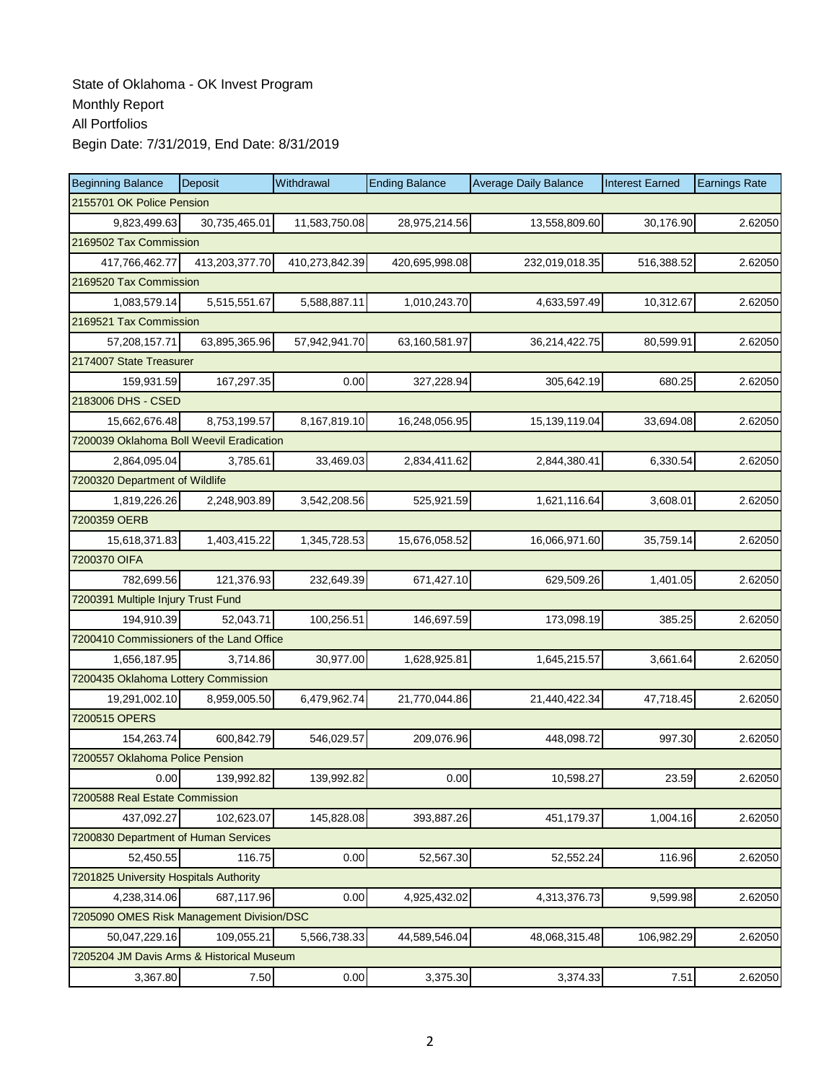| <b>Beginning Balance</b>                  | Deposit        | Withdrawal     | <b>Ending Balance</b> | <b>Average Daily Balance</b> | <b>Interest Earned</b> | <b>Earnings Rate</b> |  |  |  |
|-------------------------------------------|----------------|----------------|-----------------------|------------------------------|------------------------|----------------------|--|--|--|
| 2155701 OK Police Pension                 |                |                |                       |                              |                        |                      |  |  |  |
| 9,823,499.63                              | 30,735,465.01  | 11,583,750.08  | 28,975,214.56         | 13,558,809.60                | 30,176.90              | 2.62050              |  |  |  |
| 2169502 Tax Commission                    |                |                |                       |                              |                        |                      |  |  |  |
| 417,766,462.77                            | 413,203,377.70 | 410,273,842.39 | 420,695,998.08        | 232,019,018.35               | 516,388.52             | 2.62050              |  |  |  |
| 2169520 Tax Commission                    |                |                |                       |                              |                        |                      |  |  |  |
| 1,083,579.14                              | 5,515,551.67   | 5,588,887.11   | 1,010,243.70          | 4,633,597.49                 | 10,312.67              | 2.62050              |  |  |  |
| 2169521 Tax Commission                    |                |                |                       |                              |                        |                      |  |  |  |
| 57,208,157.71                             | 63,895,365.96  | 57,942,941.70  | 63,160,581.97         | 36,214,422.75                | 80,599.91              | 2.62050              |  |  |  |
| 2174007 State Treasurer                   |                |                |                       |                              |                        |                      |  |  |  |
| 159,931.59                                | 167,297.35     | 0.00           | 327,228.94            | 305,642.19                   | 680.25                 | 2.62050              |  |  |  |
| 2183006 DHS - CSED                        |                |                |                       |                              |                        |                      |  |  |  |
| 15,662,676.48                             | 8,753,199.57   | 8,167,819.10   | 16,248,056.95         | 15,139,119.04                | 33,694.08              | 2.62050              |  |  |  |
| 7200039 Oklahoma Boll Weevil Eradication  |                |                |                       |                              |                        |                      |  |  |  |
| 2,864,095.04                              | 3,785.61       | 33,469.03      | 2,834,411.62          | 2,844,380.41                 | 6,330.54               | 2.62050              |  |  |  |
| 7200320 Department of Wildlife            |                |                |                       |                              |                        |                      |  |  |  |
| 1,819,226.26                              | 2,248,903.89   | 3,542,208.56   | 525,921.59            | 1,621,116.64                 | 3,608.01               | 2.62050              |  |  |  |
| 7200359 OERB                              |                |                |                       |                              |                        |                      |  |  |  |
| 15,618,371.83                             | 1,403,415.22   | 1,345,728.53   | 15,676,058.52         | 16,066,971.60                | 35,759.14              | 2.62050              |  |  |  |
| 7200370 OIFA                              |                |                |                       |                              |                        |                      |  |  |  |
| 782,699.56                                | 121,376.93     | 232,649.39     | 671,427.10            | 629,509.26                   | 1,401.05               | 2.62050              |  |  |  |
| 7200391 Multiple Injury Trust Fund        |                |                |                       |                              |                        |                      |  |  |  |
| 194,910.39                                | 52,043.71      | 100,256.51     | 146,697.59            | 173,098.19                   | 385.25                 | 2.62050              |  |  |  |
| 7200410 Commissioners of the Land Office  |                |                |                       |                              |                        |                      |  |  |  |
| 1,656,187.95                              | 3,714.86       | 30,977.00      | 1,628,925.81          | 1,645,215.57                 | 3,661.64               | 2.62050              |  |  |  |
| 7200435 Oklahoma Lottery Commission       |                |                |                       |                              |                        |                      |  |  |  |
| 19,291,002.10                             | 8,959,005.50   | 6,479,962.74   | 21,770,044.86         | 21,440,422.34                | 47,718.45              | 2.62050              |  |  |  |
| 7200515 OPERS                             |                |                |                       |                              |                        |                      |  |  |  |
| 154,263.74                                | 600,842.79     | 546,029.57     | 209,076.96            | 448,098.72                   | 997.30                 | 2.62050              |  |  |  |
| 7200557 Oklahoma Police Pension           |                |                |                       |                              |                        |                      |  |  |  |
| 0.00                                      | 139,992.82     | 139,992.82     | 0.00                  | 10,598.27                    | 23.59                  | 2.62050              |  |  |  |
| 7200588 Real Estate Commission            |                |                |                       |                              |                        |                      |  |  |  |
| 437,092.27                                | 102,623.07     | 145,828.08     | 393,887.26            | 451,179.37                   | 1,004.16               | 2.62050              |  |  |  |
| 7200830 Department of Human Services      |                |                |                       |                              |                        |                      |  |  |  |
| 52,450.55                                 | 116.75         | 0.00           | 52,567.30             | 52,552.24                    | 116.96                 | 2.62050              |  |  |  |
| 7201825 University Hospitals Authority    |                |                |                       |                              |                        |                      |  |  |  |
| 4,238,314.06                              | 687,117.96     | 0.00           | 4,925,432.02          | 4,313,376.73                 | 9,599.98               | 2.62050              |  |  |  |
| 7205090 OMES Risk Management Division/DSC |                |                |                       |                              |                        |                      |  |  |  |
| 50,047,229.16                             | 109,055.21     | 5,566,738.33   | 44,589,546.04         | 48,068,315.48                | 106,982.29             | 2.62050              |  |  |  |
| 7205204 JM Davis Arms & Historical Museum |                |                |                       |                              |                        |                      |  |  |  |
| 3,367.80                                  | 7.50           | 0.00           | 3,375.30              | 3,374.33                     | 7.51                   | 2.62050              |  |  |  |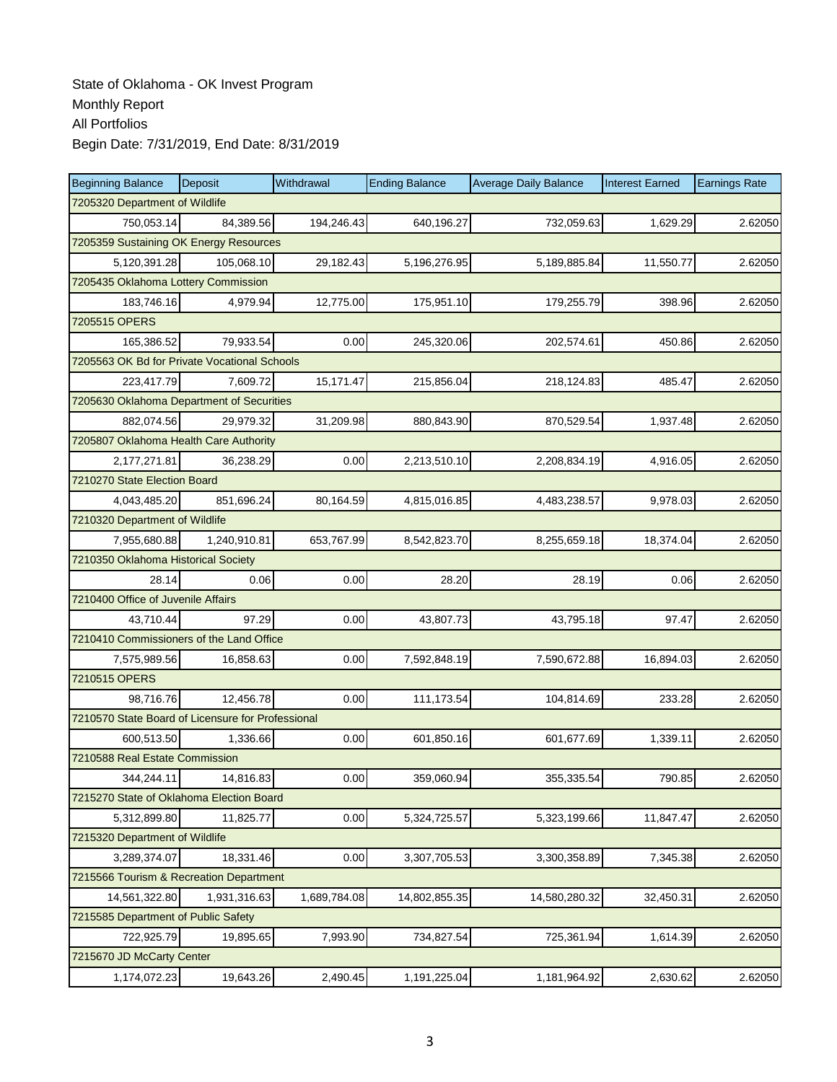| <b>Beginning Balance</b>                          | Deposit      | Withdrawal   | <b>Ending Balance</b> | <b>Average Daily Balance</b> | <b>Interest Earned</b> | <b>Earnings Rate</b> |  |  |  |
|---------------------------------------------------|--------------|--------------|-----------------------|------------------------------|------------------------|----------------------|--|--|--|
| 7205320 Department of Wildlife                    |              |              |                       |                              |                        |                      |  |  |  |
| 750.053.14                                        | 84,389.56    | 194,246.43   | 640,196.27            | 732,059.63                   | 1,629.29               | 2.62050              |  |  |  |
| 7205359 Sustaining OK Energy Resources            |              |              |                       |                              |                        |                      |  |  |  |
| 5,120,391.28                                      | 105,068.10   | 29,182.43    | 5,196,276.95          | 5,189,885.84                 | 11,550.77              | 2.62050              |  |  |  |
| 7205435 Oklahoma Lottery Commission               |              |              |                       |                              |                        |                      |  |  |  |
| 183,746.16                                        | 4,979.94     | 12,775.00    | 175,951.10            | 179,255.79                   | 398.96                 | 2.62050              |  |  |  |
| 7205515 OPERS                                     |              |              |                       |                              |                        |                      |  |  |  |
| 165,386.52                                        | 79,933.54    | 0.00         | 245,320.06            | 202,574.61                   | 450.86                 | 2.62050              |  |  |  |
| 7205563 OK Bd for Private Vocational Schools      |              |              |                       |                              |                        |                      |  |  |  |
| 223,417.79                                        | 7,609.72     | 15,171.47    | 215,856.04            | 218,124.83                   | 485.47                 | 2.62050              |  |  |  |
| 7205630 Oklahoma Department of Securities         |              |              |                       |                              |                        |                      |  |  |  |
| 882,074.56                                        | 29,979.32    | 31,209.98    | 880,843.90            | 870,529.54                   | 1,937.48               | 2.62050              |  |  |  |
| 7205807 Oklahoma Health Care Authority            |              |              |                       |                              |                        |                      |  |  |  |
| 2,177,271.81                                      | 36,238.29    | 0.00         | 2,213,510.10          | 2,208,834.19                 | 4,916.05               | 2.62050              |  |  |  |
| 7210270 State Election Board                      |              |              |                       |                              |                        |                      |  |  |  |
| 4,043,485.20                                      | 851,696.24   | 80,164.59    | 4,815,016.85          | 4,483,238.57                 | 9,978.03               | 2.62050              |  |  |  |
| 7210320 Department of Wildlife                    |              |              |                       |                              |                        |                      |  |  |  |
| 7,955,680.88                                      | 1,240,910.81 | 653,767.99   | 8,542,823.70          | 8,255,659.18                 | 18,374.04              | 2.62050              |  |  |  |
| 7210350 Oklahoma Historical Society               |              |              |                       |                              |                        |                      |  |  |  |
| 28.14                                             | 0.06         | 0.00         | 28.20                 | 28.19                        | 0.06                   | 2.62050              |  |  |  |
| 7210400 Office of Juvenile Affairs                |              |              |                       |                              |                        |                      |  |  |  |
| 43,710.44                                         | 97.29        | 0.00         | 43,807.73             | 43,795.18                    | 97.47                  | 2.62050              |  |  |  |
| 7210410 Commissioners of the Land Office          |              |              |                       |                              |                        |                      |  |  |  |
| 7,575,989.56                                      | 16,858.63    | 0.00         | 7,592,848.19          | 7,590,672.88                 | 16,894.03              | 2.62050              |  |  |  |
| 7210515 OPERS                                     |              |              |                       |                              |                        |                      |  |  |  |
| 98,716.76                                         | 12,456.78    | 0.00         | 111,173.54            | 104,814.69                   | 233.28                 | 2.62050              |  |  |  |
| 7210570 State Board of Licensure for Professional |              |              |                       |                              |                        |                      |  |  |  |
| 600,513.50                                        | 1.336.66     | 0.00         | 601,850.16            | 601,677.69                   | 1,339.11               | 2.62050              |  |  |  |
| 7210588 Real Estate Commission                    |              |              |                       |                              |                        |                      |  |  |  |
| 344,244.11                                        | 14,816.83    | 0.00         | 359,060.94            | 355,335.54                   | 790.85                 | 2.62050              |  |  |  |
| 7215270 State of Oklahoma Election Board          |              |              |                       |                              |                        |                      |  |  |  |
| 5,312,899.80                                      | 11,825.77    | 0.00         | 5,324,725.57          | 5,323,199.66                 | 11,847.47              | 2.62050              |  |  |  |
| 7215320 Department of Wildlife                    |              |              |                       |                              |                        |                      |  |  |  |
| 3,289,374.07                                      | 18,331.46    | 0.00         | 3,307,705.53          | 3,300,358.89                 | 7,345.38               | 2.62050              |  |  |  |
| 7215566 Tourism & Recreation Department           |              |              |                       |                              |                        |                      |  |  |  |
| 14,561,322.80                                     | 1,931,316.63 | 1,689,784.08 | 14,802,855.35         | 14,580,280.32                | 32,450.31              | 2.62050              |  |  |  |
| 7215585 Department of Public Safety               |              |              |                       |                              |                        |                      |  |  |  |
| 722,925.79                                        | 19,895.65    | 7,993.90     | 734,827.54            | 725,361.94                   | 1,614.39               | 2.62050              |  |  |  |
| 7215670 JD McCarty Center                         |              |              |                       |                              |                        |                      |  |  |  |
| 1,174,072.23                                      | 19,643.26    | 2,490.45     | 1,191,225.04          | 1,181,964.92                 | 2,630.62               | 2.62050              |  |  |  |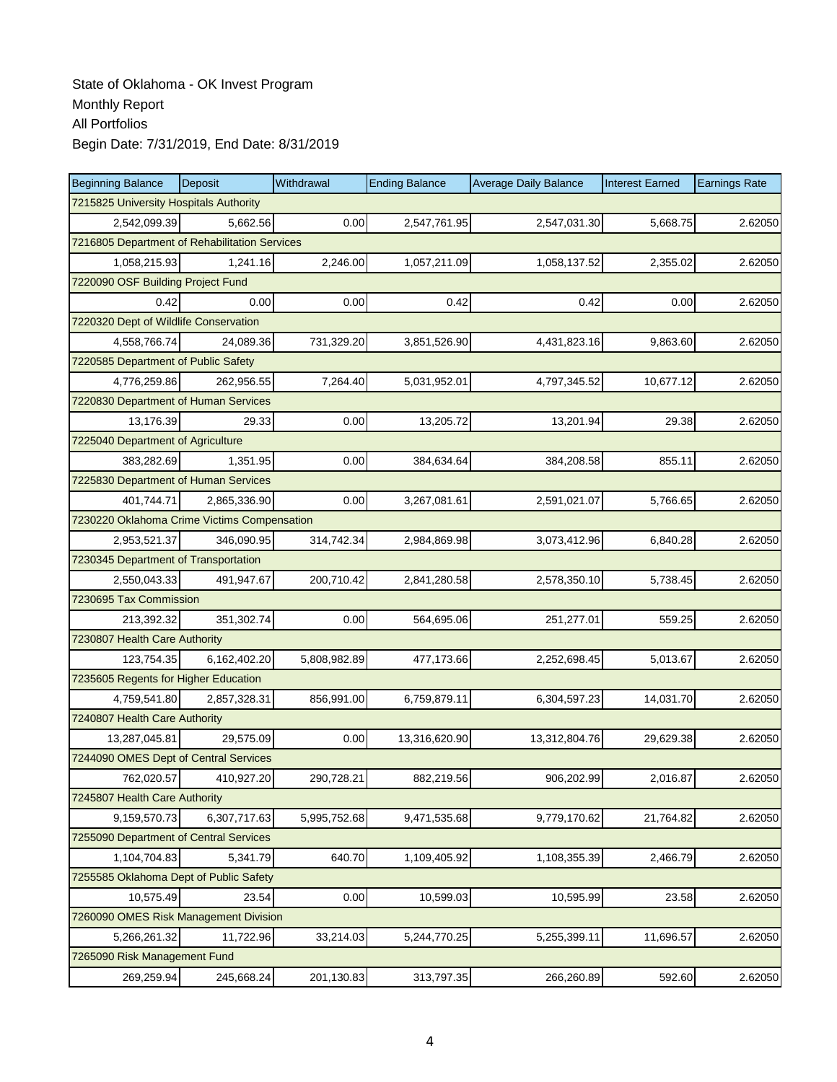| <b>Beginning Balance</b>                      | Deposit      | Withdrawal   | <b>Ending Balance</b> | <b>Average Daily Balance</b> | <b>Interest Earned</b> | <b>Earnings Rate</b> |  |  |  |
|-----------------------------------------------|--------------|--------------|-----------------------|------------------------------|------------------------|----------------------|--|--|--|
| 7215825 University Hospitals Authority        |              |              |                       |                              |                        |                      |  |  |  |
| 2,542,099.39                                  | 5,662.56     | 0.00         | 2,547,761.95          | 2,547,031.30                 | 5,668.75               | 2.62050              |  |  |  |
| 7216805 Department of Rehabilitation Services |              |              |                       |                              |                        |                      |  |  |  |
| 1,058,215.93                                  | 1,241.16     | 2,246.00     | 1,057,211.09          | 1,058,137.52                 | 2,355.02               | 2.62050              |  |  |  |
| 7220090 OSF Building Project Fund             |              |              |                       |                              |                        |                      |  |  |  |
| 0.42                                          | 0.00         | 0.00         | 0.42                  | 0.42                         | 0.00                   | 2.62050              |  |  |  |
| 7220320 Dept of Wildlife Conservation         |              |              |                       |                              |                        |                      |  |  |  |
| 4.558.766.74                                  | 24,089.36    | 731,329.20   | 3,851,526.90          | 4,431,823.16                 | 9,863.60               | 2.62050              |  |  |  |
| 7220585 Department of Public Safety           |              |              |                       |                              |                        |                      |  |  |  |
| 4,776,259.86                                  | 262,956.55   | 7,264.40     | 5,031,952.01          | 4,797,345.52                 | 10,677.12              | 2.62050              |  |  |  |
| 7220830 Department of Human Services          |              |              |                       |                              |                        |                      |  |  |  |
| 13,176.39                                     | 29.33        | 0.00         | 13,205.72             | 13,201.94                    | 29.38                  | 2.62050              |  |  |  |
| 7225040 Department of Agriculture             |              |              |                       |                              |                        |                      |  |  |  |
| 383,282.69                                    | 1,351.95     | 0.00         | 384,634.64            | 384,208.58                   | 855.11                 | 2.62050              |  |  |  |
| 7225830 Department of Human Services          |              |              |                       |                              |                        |                      |  |  |  |
| 401,744.71                                    | 2,865,336.90 | 0.00         | 3,267,081.61          | 2,591,021.07                 | 5,766.65               | 2.62050              |  |  |  |
| 7230220 Oklahoma Crime Victims Compensation   |              |              |                       |                              |                        |                      |  |  |  |
| 2,953,521.37                                  | 346,090.95   | 314,742.34   | 2,984,869.98          | 3,073,412.96                 | 6,840.28               | 2.62050              |  |  |  |
| 7230345 Department of Transportation          |              |              |                       |                              |                        |                      |  |  |  |
| 2,550,043.33                                  | 491,947.67   | 200,710.42   | 2,841,280.58          | 2,578,350.10                 | 5,738.45               | 2.62050              |  |  |  |
| 7230695 Tax Commission                        |              |              |                       |                              |                        |                      |  |  |  |
| 213,392.32                                    | 351,302.74   | 0.00         | 564,695.06            | 251,277.01                   | 559.25                 | 2.62050              |  |  |  |
| 7230807 Health Care Authority                 |              |              |                       |                              |                        |                      |  |  |  |
| 123,754.35                                    | 6,162,402.20 | 5,808,982.89 | 477,173.66            | 2,252,698.45                 | 5,013.67               | 2.62050              |  |  |  |
| 7235605 Regents for Higher Education          |              |              |                       |                              |                        |                      |  |  |  |
| 4,759,541.80                                  | 2,857,328.31 | 856,991.00   | 6,759,879.11          | 6,304,597.23                 | 14,031.70              | 2.62050              |  |  |  |
| 7240807 Health Care Authority                 |              |              |                       |                              |                        |                      |  |  |  |
| 13,287,045.81                                 | 29,575.09    | 0.00         | 13,316,620.90         | 13,312,804.76                | 29,629.38              | 2.62050              |  |  |  |
| 7244090 OMES Dept of Central Services         |              |              |                       |                              |                        |                      |  |  |  |
| 762,020.57                                    | 410,927.20   | 290,728.21   | 882,219.56            | 906,202.99                   | 2,016.87               | 2.62050              |  |  |  |
| 7245807 Health Care Authority                 |              |              |                       |                              |                        |                      |  |  |  |
| 9,159,570.73                                  | 6,307,717.63 | 5,995,752.68 | 9,471,535.68          | 9,779,170.62                 | 21,764.82              | 2.62050              |  |  |  |
| 7255090 Department of Central Services        |              |              |                       |                              |                        |                      |  |  |  |
| 1,104,704.83                                  | 5,341.79     | 640.70       | 1,109,405.92          | 1,108,355.39                 | 2,466.79               | 2.62050              |  |  |  |
| 7255585 Oklahoma Dept of Public Safety        |              |              |                       |                              |                        |                      |  |  |  |
| 10,575.49                                     | 23.54        | 0.00         | 10,599.03             | 10,595.99                    | 23.58                  | 2.62050              |  |  |  |
| 7260090 OMES Risk Management Division         |              |              |                       |                              |                        |                      |  |  |  |
| 5,266,261.32                                  | 11,722.96    | 33,214.03    | 5,244,770.25          | 5,255,399.11                 | 11,696.57              | 2.62050              |  |  |  |
| 7265090 Risk Management Fund                  |              |              |                       |                              |                        |                      |  |  |  |
| 269,259.94                                    | 245,668.24   | 201,130.83   | 313,797.35            | 266,260.89                   | 592.60                 | 2.62050              |  |  |  |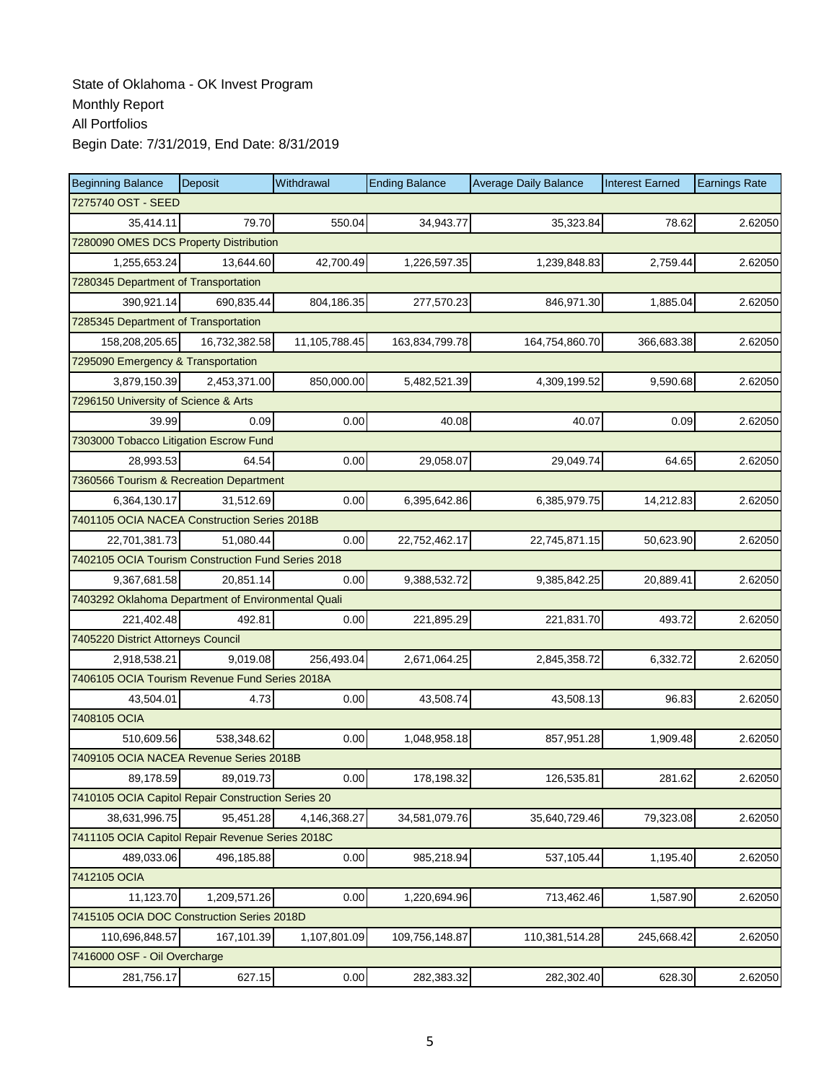| <b>Beginning Balance</b>                           | Deposit                                | Withdrawal    | <b>Ending Balance</b> | <b>Average Daily Balance</b> | <b>Interest Earned</b> | <b>Earnings Rate</b> |  |  |  |  |
|----------------------------------------------------|----------------------------------------|---------------|-----------------------|------------------------------|------------------------|----------------------|--|--|--|--|
| 7275740 OST - SEED                                 |                                        |               |                       |                              |                        |                      |  |  |  |  |
| 35,414.11                                          | 79.70                                  | 550.04        | 34,943.77             | 35,323.84                    | 78.62                  | 2.62050              |  |  |  |  |
|                                                    | 7280090 OMES DCS Property Distribution |               |                       |                              |                        |                      |  |  |  |  |
| 1,255,653.24                                       | 13,644.60                              | 42,700.49     | 1,226,597.35          | 1,239,848.83                 | 2,759.44               | 2.62050              |  |  |  |  |
|                                                    | 7280345 Department of Transportation   |               |                       |                              |                        |                      |  |  |  |  |
| 390,921.14                                         | 690,835.44                             | 804,186.35    | 277,570.23            | 846,971.30                   | 1,885.04               | 2.62050              |  |  |  |  |
| 7285345 Department of Transportation               |                                        |               |                       |                              |                        |                      |  |  |  |  |
| 158,208,205.65                                     | 16,732,382.58                          | 11,105,788.45 | 163,834,799.78        | 164,754,860.70               | 366,683.38             | 2.62050              |  |  |  |  |
| 7295090 Emergency & Transportation                 |                                        |               |                       |                              |                        |                      |  |  |  |  |
| 3,879,150.39                                       | 2,453,371.00                           | 850,000.00    | 5,482,521.39          | 4,309,199.52                 | 9,590.68               | 2.62050              |  |  |  |  |
| 7296150 University of Science & Arts               |                                        |               |                       |                              |                        |                      |  |  |  |  |
| 39.99                                              | 0.09                                   | 0.00          | 40.08                 | 40.07                        | 0.09                   | 2.62050              |  |  |  |  |
| 7303000 Tobacco Litigation Escrow Fund             |                                        |               |                       |                              |                        |                      |  |  |  |  |
| 28,993.53                                          | 64.54                                  | 0.00          | 29,058.07             | 29,049.74                    | 64.65                  | 2.62050              |  |  |  |  |
| 7360566 Tourism & Recreation Department            |                                        |               |                       |                              |                        |                      |  |  |  |  |
| 6,364,130.17                                       | 31,512.69                              | 0.00          | 6,395,642.86          | 6,385,979.75                 | 14,212.83              | 2.62050              |  |  |  |  |
| 7401105 OCIA NACEA Construction Series 2018B       |                                        |               |                       |                              |                        |                      |  |  |  |  |
| 22,701,381.73                                      | 51,080.44                              | 0.00          | 22,752,462.17         | 22,745,871.15                | 50,623.90              | 2.62050              |  |  |  |  |
| 7402105 OCIA Tourism Construction Fund Series 2018 |                                        |               |                       |                              |                        |                      |  |  |  |  |
| 9,367,681.58                                       | 20,851.14                              | 0.00          | 9,388,532.72          | 9,385,842.25                 | 20,889.41              | 2.62050              |  |  |  |  |
| 7403292 Oklahoma Department of Environmental Quali |                                        |               |                       |                              |                        |                      |  |  |  |  |
| 221,402.48                                         | 492.81                                 | 0.00          | 221,895.29            | 221,831.70                   | 493.72                 | 2.62050              |  |  |  |  |
| 7405220 District Attorneys Council                 |                                        |               |                       |                              |                        |                      |  |  |  |  |
| 2,918,538.21                                       | 9,019.08                               | 256,493.04    | 2,671,064.25          | 2,845,358.72                 | 6,332.72               | 2.62050              |  |  |  |  |
| 7406105 OCIA Tourism Revenue Fund Series 2018A     |                                        |               |                       |                              |                        |                      |  |  |  |  |
| 43,504.01                                          | 4.73                                   | 0.00          | 43,508.74             | 43,508.13                    | 96.83                  | 2.62050              |  |  |  |  |
| 7408105 OCIA                                       |                                        |               |                       |                              |                        |                      |  |  |  |  |
| 510,609.56                                         | 538,348.62                             | 0.00          | 1,048,958.18          | 857,951.28                   | 1,909.48               | 2.62050              |  |  |  |  |
| 7409105 OCIA NACEA Revenue Series 2018B            |                                        |               |                       |                              |                        |                      |  |  |  |  |
| 89,178.59                                          | 89,019.73                              | 0.00          | 178,198.32            | 126,535.81                   | 281.62                 | 2.62050              |  |  |  |  |
| 7410105 OCIA Capitol Repair Construction Series 20 |                                        |               |                       |                              |                        |                      |  |  |  |  |
| 38,631,996.75                                      | 95,451.28                              | 4,146,368.27  | 34,581,079.76         | 35,640,729.46                | 79,323.08              | 2.62050              |  |  |  |  |
| 7411105 OCIA Capitol Repair Revenue Series 2018C   |                                        |               |                       |                              |                        |                      |  |  |  |  |
| 489,033.06                                         | 496,185.88                             | 0.00          | 985,218.94            | 537,105.44                   | 1,195.40               | 2.62050              |  |  |  |  |
| 7412105 OCIA                                       |                                        |               |                       |                              |                        |                      |  |  |  |  |
| 11,123.70                                          | 1,209,571.26                           | 0.00          | 1,220,694.96          | 713,462.46                   | 1,587.90               | 2.62050              |  |  |  |  |
| 7415105 OCIA DOC Construction Series 2018D         |                                        |               |                       |                              |                        |                      |  |  |  |  |
| 110,696,848.57                                     | 167,101.39                             | 1,107,801.09  | 109,756,148.87        | 110,381,514.28               | 245,668.42             | 2.62050              |  |  |  |  |
| 7416000 OSF - Oil Overcharge                       |                                        |               |                       |                              |                        |                      |  |  |  |  |
| 281,756.17                                         | 627.15                                 | 0.00          | 282,383.32            | 282,302.40                   | 628.30                 | 2.62050              |  |  |  |  |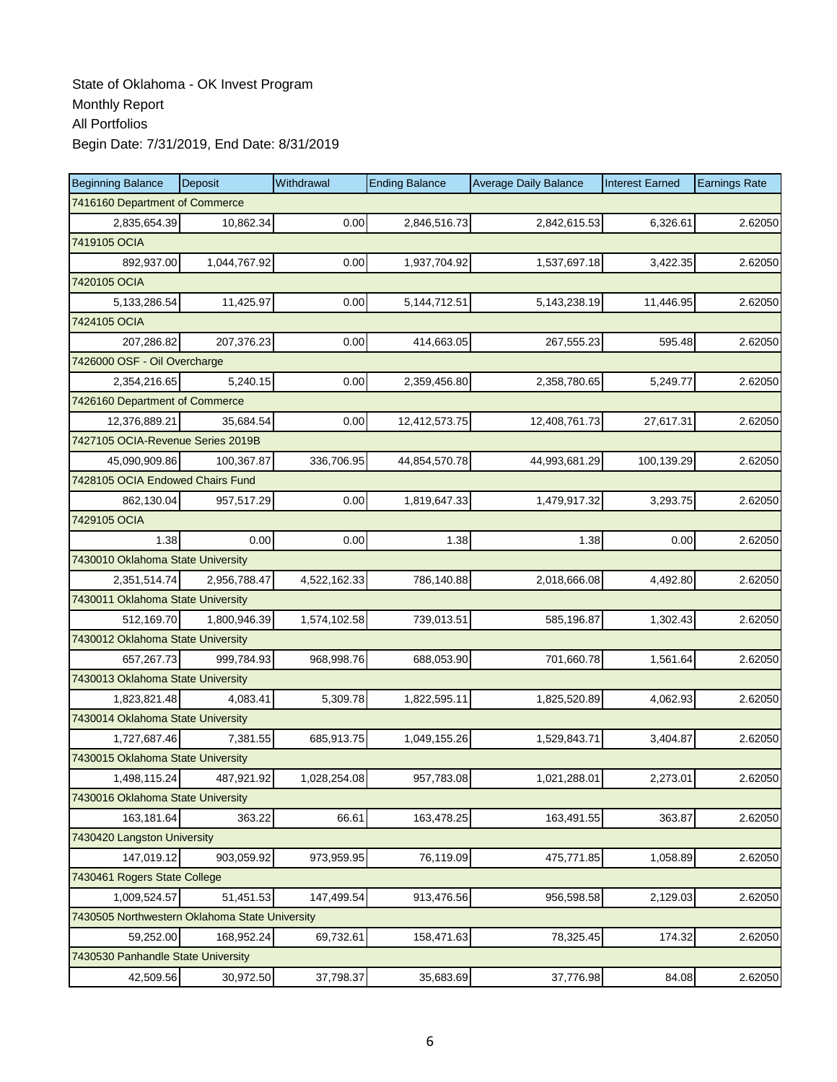| <b>Beginning Balance</b>                       | Deposit      | Withdrawal   | <b>Ending Balance</b> | <b>Average Daily Balance</b> | <b>Interest Earned</b> | <b>Earnings Rate</b> |
|------------------------------------------------|--------------|--------------|-----------------------|------------------------------|------------------------|----------------------|
| 7416160 Department of Commerce                 |              |              |                       |                              |                        |                      |
| 2,835,654.39                                   | 10,862.34    | 0.00         | 2,846,516.73          | 2,842,615.53                 | 6,326.61               | 2.62050              |
| 7419105 OCIA                                   |              |              |                       |                              |                        |                      |
| 892,937.00                                     | 1,044,767.92 | 0.00         | 1,937,704.92          | 1,537,697.18                 | 3,422.35               | 2.62050              |
| 7420105 OCIA                                   |              |              |                       |                              |                        |                      |
| 5, 133, 286.54                                 | 11,425.97    | 0.00         | 5,144,712.51          | 5,143,238.19                 | 11,446.95              | 2.62050              |
| 7424105 OCIA                                   |              |              |                       |                              |                        |                      |
| 207,286.82                                     | 207,376.23   | 0.00         | 414,663.05            | 267,555.23                   | 595.48                 | 2.62050              |
| 7426000 OSF - Oil Overcharge                   |              |              |                       |                              |                        |                      |
| 2,354,216.65                                   | 5,240.15     | 0.00         | 2,359,456.80          | 2,358,780.65                 | 5,249.77               | 2.62050              |
| 7426160 Department of Commerce                 |              |              |                       |                              |                        |                      |
| 12,376,889.21                                  | 35,684.54    | 0.00         | 12,412,573.75         | 12,408,761.73                | 27,617.31              | 2.62050              |
| 7427105 OCIA-Revenue Series 2019B              |              |              |                       |                              |                        |                      |
| 45,090,909.86                                  | 100,367.87   | 336,706.95   | 44,854,570.78         | 44,993,681.29                | 100,139.29             | 2.62050              |
| 7428105 OCIA Endowed Chairs Fund               |              |              |                       |                              |                        |                      |
| 862,130.04                                     | 957,517.29   | 0.00         | 1,819,647.33          | 1,479,917.32                 | 3,293.75               | 2.62050              |
| 7429105 OCIA                                   |              |              |                       |                              |                        |                      |
| 1.38                                           | 0.00         | 0.00         | 1.38                  | 1.38                         | 0.00                   | 2.62050              |
| 7430010 Oklahoma State University              |              |              |                       |                              |                        |                      |
| 2,351,514.74                                   | 2,956,788.47 | 4,522,162.33 | 786,140.88            | 2,018,666.08                 | 4,492.80               | 2.62050              |
| 7430011 Oklahoma State University              |              |              |                       |                              |                        |                      |
| 512,169.70                                     | 1,800,946.39 | 1,574,102.58 | 739,013.51            | 585,196.87                   | 1,302.43               | 2.62050              |
| 7430012 Oklahoma State University              |              |              |                       |                              |                        |                      |
| 657,267.73                                     | 999,784.93   | 968,998.76   | 688,053.90            | 701,660.78                   | 1,561.64               | 2.62050              |
| 7430013 Oklahoma State University              |              |              |                       |                              |                        |                      |
| 1,823,821.48                                   | 4,083.41     | 5,309.78     | 1,822,595.11          | 1,825,520.89                 | 4,062.93               | 2.62050              |
| 7430014 Oklahoma State University              |              |              |                       |                              |                        |                      |
| 1,727,687.46                                   | 7,381.55     | 685,913.75   | 1,049,155.26          | 1,529,843.71                 | 3,404.87               | 2.62050              |
| 7430015 Oklahoma State University              |              |              |                       |                              |                        |                      |
| 1,498,115.24                                   | 487,921.92   | 1,028,254.08 | 957,783.08            | 1,021,288.01                 | 2,273.01               | 2.62050              |
| 7430016 Oklahoma State University              |              |              |                       |                              |                        |                      |
| 163,181.64                                     | 363.22       | 66.61        | 163,478.25            | 163,491.55                   | 363.87                 | 2.62050              |
| 7430420 Langston University                    |              |              |                       |                              |                        |                      |
| 147,019.12                                     | 903,059.92   | 973,959.95   | 76,119.09             | 475,771.85                   | 1,058.89               | 2.62050              |
| 7430461 Rogers State College                   |              |              |                       |                              |                        |                      |
| 1,009,524.57                                   | 51,451.53    | 147,499.54   | 913,476.56            | 956,598.58                   | 2,129.03               | 2.62050              |
| 7430505 Northwestern Oklahoma State University |              |              |                       |                              |                        |                      |
| 59,252.00                                      | 168,952.24   | 69,732.61    | 158,471.63            | 78,325.45                    | 174.32                 | 2.62050              |
| 7430530 Panhandle State University             |              |              |                       |                              |                        |                      |
| 42,509.56                                      | 30,972.50    | 37,798.37    | 35,683.69             | 37,776.98                    | 84.08                  | 2.62050              |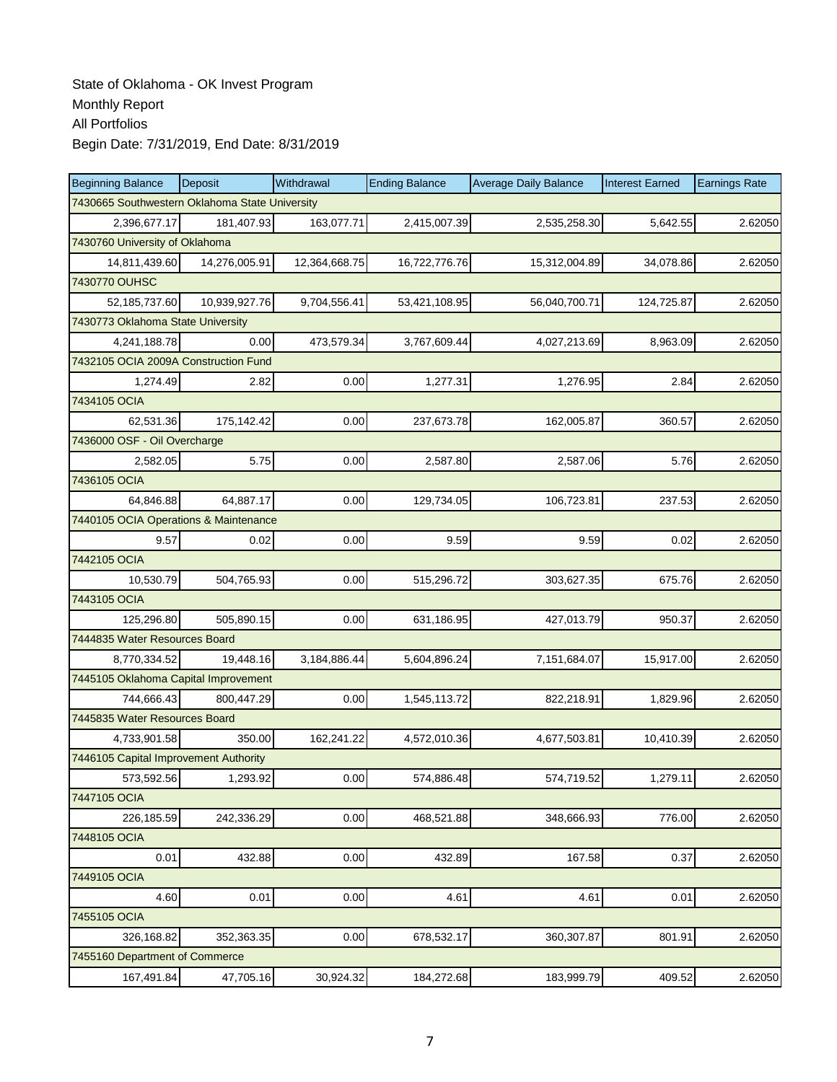| <b>Beginning Balance</b>                       | Deposit       | Withdrawal    | <b>Ending Balance</b> | <b>Average Daily Balance</b> | <b>Interest Earned</b> | <b>Earnings Rate</b> |
|------------------------------------------------|---------------|---------------|-----------------------|------------------------------|------------------------|----------------------|
| 7430665 Southwestern Oklahoma State University |               |               |                       |                              |                        |                      |
| 2,396,677.17                                   | 181,407.93    | 163,077.71    | 2,415,007.39          | 2,535,258.30                 | 5,642.55               | 2.62050              |
| 7430760 University of Oklahoma                 |               |               |                       |                              |                        |                      |
| 14,811,439.60                                  | 14,276,005.91 | 12,364,668.75 | 16,722,776.76         | 15,312,004.89                | 34,078.86              | 2.62050              |
| 7430770 OUHSC                                  |               |               |                       |                              |                        |                      |
| 52,185,737.60                                  | 10,939,927.76 | 9,704,556.41  | 53,421,108.95         | 56,040,700.71                | 124,725.87             | 2.62050              |
| 7430773 Oklahoma State University              |               |               |                       |                              |                        |                      |
| 4,241,188.78                                   | 0.00          | 473,579.34    | 3,767,609.44          | 4,027,213.69                 | 8,963.09               | 2.62050              |
| 7432105 OCIA 2009A Construction Fund           |               |               |                       |                              |                        |                      |
| 1,274.49                                       | 2.82          | 0.00          | 1,277.31              | 1,276.95                     | 2.84                   | 2.62050              |
| 7434105 OCIA                                   |               |               |                       |                              |                        |                      |
| 62,531.36                                      | 175,142.42    | 0.00          | 237,673.78            | 162,005.87                   | 360.57                 | 2.62050              |
| 7436000 OSF - Oil Overcharge                   |               |               |                       |                              |                        |                      |
| 2,582.05                                       | 5.75          | 0.00          | 2,587.80              | 2,587.06                     | 5.76                   | 2.62050              |
| 7436105 OCIA                                   |               |               |                       |                              |                        |                      |
| 64.846.88                                      | 64,887.17     | 0.00          | 129,734.05            | 106,723.81                   | 237.53                 | 2.62050              |
| 7440105 OCIA Operations & Maintenance          |               |               |                       |                              |                        |                      |
| 9.57                                           | 0.02          | 0.00          | 9.59                  | 9.59                         | 0.02                   | 2.62050              |
| 7442105 OCIA                                   |               |               |                       |                              |                        |                      |
| 10,530.79                                      | 504,765.93    | 0.00          | 515,296.72            | 303,627.35                   | 675.76                 | 2.62050              |
| 7443105 OCIA                                   |               |               |                       |                              |                        |                      |
| 125,296.80                                     | 505,890.15    | 0.00          | 631,186.95            | 427,013.79                   | 950.37                 | 2.62050              |
| 7444835 Water Resources Board                  |               |               |                       |                              |                        |                      |
| 8,770,334.52                                   | 19,448.16     | 3,184,886.44  | 5,604,896.24          | 7,151,684.07                 | 15,917.00              | 2.62050              |
| 7445105 Oklahoma Capital Improvement           |               |               |                       |                              |                        |                      |
| 744,666.43                                     | 800,447.29    | 0.00          | 1,545,113.72          | 822,218.91                   | 1,829.96               | 2.62050              |
| 7445835 Water Resources Board                  |               |               |                       |                              |                        |                      |
| 4.733.901.58                                   | 350.00        | 162,241.22    | 4,572,010.36          | 4,677,503.81                 | 10,410.39              | 2.62050              |
| 7446105 Capital Improvement Authority          |               |               |                       |                              |                        |                      |
| 573,592.56                                     | 1,293.92      | 0.00          | 574,886.48            | 574,719.52                   | 1,279.11               | 2.62050              |
| 7447105 OCIA                                   |               |               |                       |                              |                        |                      |
| 226,185.59                                     | 242,336.29    | 0.00          | 468,521.88            | 348,666.93                   | 776.00                 | 2.62050              |
| 7448105 OCIA                                   |               |               |                       |                              |                        |                      |
| 0.01                                           | 432.88        | 0.00          | 432.89                | 167.58                       | 0.37                   | 2.62050              |
| 7449105 OCIA                                   |               |               |                       |                              |                        |                      |
| 4.60                                           | 0.01          | 0.00          | 4.61                  | 4.61                         | 0.01                   | 2.62050              |
| 7455105 OCIA                                   |               |               |                       |                              |                        |                      |
| 326,168.82                                     | 352,363.35    | 0.00          | 678,532.17            | 360,307.87                   | 801.91                 | 2.62050              |
| 7455160 Department of Commerce                 |               |               |                       |                              |                        |                      |
| 167,491.84                                     | 47,705.16     | 30,924.32     | 184,272.68            | 183,999.79                   | 409.52                 | 2.62050              |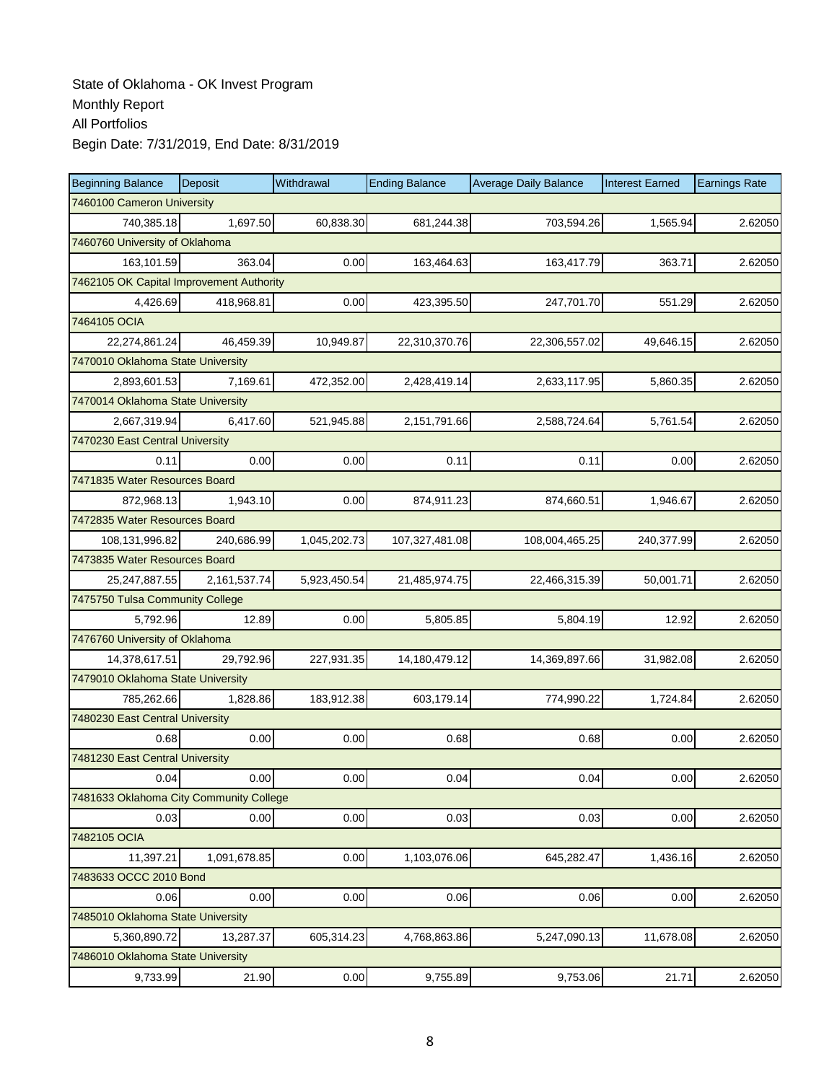| <b>Beginning Balance</b>                | Deposit                                  | Withdrawal   | <b>Ending Balance</b> | <b>Average Daily Balance</b> | <b>Interest Earned</b> | <b>Earnings Rate</b> |  |  |  |  |
|-----------------------------------------|------------------------------------------|--------------|-----------------------|------------------------------|------------------------|----------------------|--|--|--|--|
| 7460100 Cameron University              |                                          |              |                       |                              |                        |                      |  |  |  |  |
| 740.385.18                              | 1,697.50                                 | 60,838.30    | 681,244.38            | 703.594.26                   | 1,565.94               | 2.62050              |  |  |  |  |
| 7460760 University of Oklahoma          |                                          |              |                       |                              |                        |                      |  |  |  |  |
| 163,101.59                              | 363.04                                   | 0.00         | 163,464.63            | 163,417.79                   | 363.71                 | 2.62050              |  |  |  |  |
|                                         | 7462105 OK Capital Improvement Authority |              |                       |                              |                        |                      |  |  |  |  |
| 4,426.69                                | 418,968.81                               | 0.00         | 423,395.50            | 247,701.70                   | 551.29                 | 2.62050              |  |  |  |  |
| 7464105 OCIA                            |                                          |              |                       |                              |                        |                      |  |  |  |  |
| 22,274,861.24                           | 46,459.39                                | 10,949.87    | 22,310,370.76         | 22,306,557.02                | 49.646.15              | 2.62050              |  |  |  |  |
| 7470010 Oklahoma State University       |                                          |              |                       |                              |                        |                      |  |  |  |  |
| 2,893,601.53                            | 7,169.61                                 | 472,352.00   | 2,428,419.14          | 2,633,117.95                 | 5,860.35               | 2.62050              |  |  |  |  |
| 7470014 Oklahoma State University       |                                          |              |                       |                              |                        |                      |  |  |  |  |
| 2,667,319.94                            | 6,417.60                                 | 521,945.88   | 2,151,791.66          | 2,588,724.64                 | 5,761.54               | 2.62050              |  |  |  |  |
| 7470230 East Central University         |                                          |              |                       |                              |                        |                      |  |  |  |  |
| 0.11                                    | 0.00                                     | 0.00         | 0.11                  | 0.11                         | 0.00                   | 2.62050              |  |  |  |  |
| 7471835 Water Resources Board           |                                          |              |                       |                              |                        |                      |  |  |  |  |
| 872,968.13                              | 1,943.10                                 | 0.00         | 874,911.23            | 874,660.51                   | 1,946.67               | 2.62050              |  |  |  |  |
| 7472835 Water Resources Board           |                                          |              |                       |                              |                        |                      |  |  |  |  |
| 108,131,996.82                          | 240,686.99                               | 1,045,202.73 | 107,327,481.08        | 108,004,465.25               | 240,377.99             | 2.62050              |  |  |  |  |
| 7473835 Water Resources Board           |                                          |              |                       |                              |                        |                      |  |  |  |  |
| 25,247,887.55                           | 2,161,537.74                             | 5,923,450.54 | 21,485,974.75         | 22,466,315.39                | 50,001.71              | 2.62050              |  |  |  |  |
| 7475750 Tulsa Community College         |                                          |              |                       |                              |                        |                      |  |  |  |  |
| 5,792.96                                | 12.89                                    | 0.00         | 5,805.85              | 5,804.19                     | 12.92                  | 2.62050              |  |  |  |  |
| 7476760 University of Oklahoma          |                                          |              |                       |                              |                        |                      |  |  |  |  |
| 14,378,617.51                           | 29,792.96                                | 227,931.35   | 14,180,479.12         | 14,369,897.66                | 31,982.08              | 2.62050              |  |  |  |  |
| 7479010 Oklahoma State University       |                                          |              |                       |                              |                        |                      |  |  |  |  |
| 785,262.66                              | 1,828.86                                 | 183,912.38   | 603,179.14            | 774,990.22                   | 1,724.84               | 2.62050              |  |  |  |  |
| 7480230 East Central University         |                                          |              |                       |                              |                        |                      |  |  |  |  |
| 0.68                                    | 0.00                                     | 0.00         | 0.68                  | 0.68                         | 0.00                   | 2.62050              |  |  |  |  |
| 7481230 East Central University         |                                          |              |                       |                              |                        |                      |  |  |  |  |
| 0.04                                    | 0.00                                     | 0.00         | 0.04                  | 0.04                         | 0.00                   | 2.62050              |  |  |  |  |
| 7481633 Oklahoma City Community College |                                          |              |                       |                              |                        |                      |  |  |  |  |
| 0.03                                    | 0.00                                     | 0.00         | 0.03                  | 0.03                         | 0.00                   | 2.62050              |  |  |  |  |
| 7482105 OCIA                            |                                          |              |                       |                              |                        |                      |  |  |  |  |
| 11,397.21                               | 1,091,678.85                             | 0.00         | 1,103,076.06          | 645,282.47                   | 1,436.16               | 2.62050              |  |  |  |  |
| 7483633 OCCC 2010 Bond                  |                                          |              |                       |                              |                        |                      |  |  |  |  |
| 0.06                                    | 0.00                                     | 0.00         | 0.06                  | 0.06                         | 0.00                   | 2.62050              |  |  |  |  |
| 7485010 Oklahoma State University       |                                          |              |                       |                              |                        |                      |  |  |  |  |
| 5,360,890.72                            | 13,287.37                                | 605,314.23   | 4,768,863.86          | 5,247,090.13                 | 11,678.08              | 2.62050              |  |  |  |  |
| 7486010 Oklahoma State University       |                                          |              |                       |                              |                        |                      |  |  |  |  |
| 9,733.99                                | 21.90                                    | 0.00         | 9,755.89              | 9,753.06                     | 21.71                  | 2.62050              |  |  |  |  |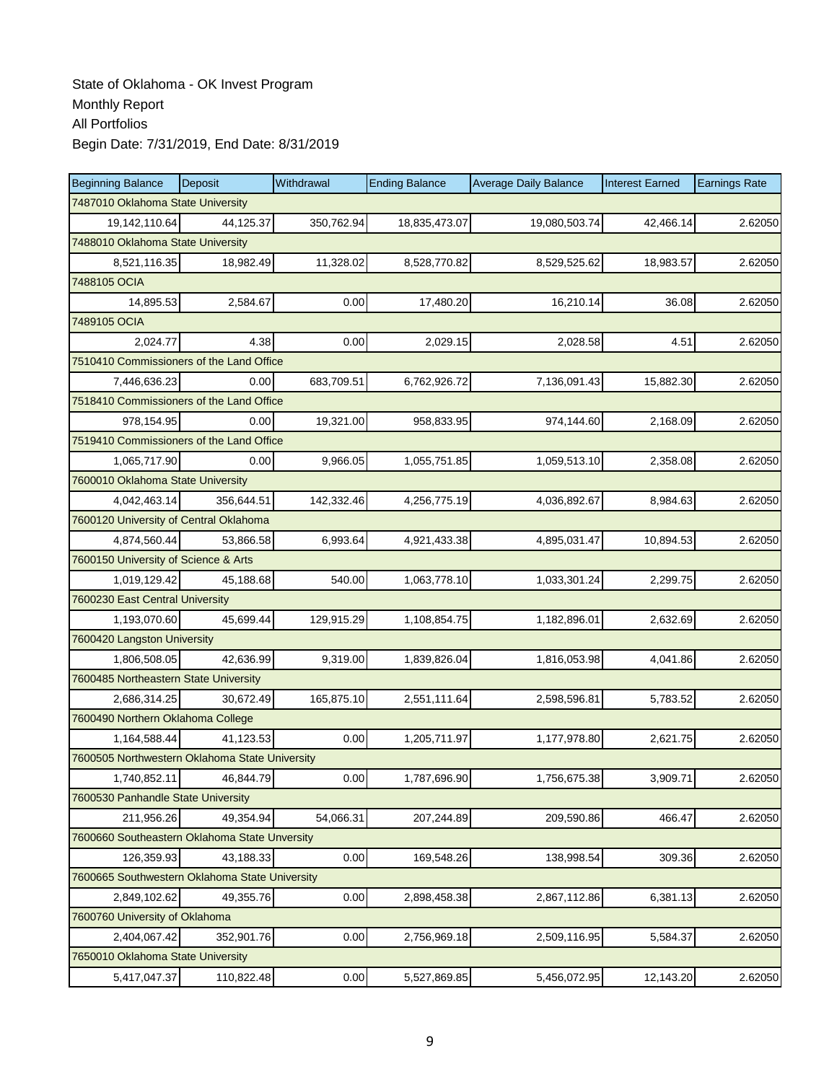| <b>Beginning Balance</b>                       | Deposit    | Withdrawal | <b>Ending Balance</b> | <b>Average Daily Balance</b> | <b>Interest Earned</b> | <b>Earnings Rate</b> |  |  |  |
|------------------------------------------------|------------|------------|-----------------------|------------------------------|------------------------|----------------------|--|--|--|
| 7487010 Oklahoma State University              |            |            |                       |                              |                        |                      |  |  |  |
| 19,142,110.64                                  | 44,125.37  | 350,762.94 | 18,835,473.07         | 19,080,503.74                | 42,466.14              | 2.62050              |  |  |  |
| 7488010 Oklahoma State University              |            |            |                       |                              |                        |                      |  |  |  |
| 8,521,116.35                                   | 18,982.49  | 11,328.02  | 8,528,770.82          | 8,529,525.62                 | 18,983.57              | 2.62050              |  |  |  |
| 7488105 OCIA                                   |            |            |                       |                              |                        |                      |  |  |  |
| 14,895.53                                      | 2,584.67   | 0.00       | 17,480.20             | 16,210.14                    | 36.08                  | 2.62050              |  |  |  |
| 7489105 OCIA                                   |            |            |                       |                              |                        |                      |  |  |  |
| 2,024.77                                       | 4.38       | 0.00       | 2,029.15              | 2,028.58                     | 4.51                   | 2.62050              |  |  |  |
| 7510410 Commissioners of the Land Office       |            |            |                       |                              |                        |                      |  |  |  |
| 7,446,636.23                                   | 0.00       | 683,709.51 | 6,762,926.72          | 7,136,091.43                 | 15,882.30              | 2.62050              |  |  |  |
| 7518410 Commissioners of the Land Office       |            |            |                       |                              |                        |                      |  |  |  |
| 978,154.95                                     | 0.00       | 19,321.00  | 958,833.95            | 974,144.60                   | 2,168.09               | 2.62050              |  |  |  |
| 7519410 Commissioners of the Land Office       |            |            |                       |                              |                        |                      |  |  |  |
| 1,065,717.90                                   | 0.00       | 9,966.05   | 1,055,751.85          | 1,059,513.10                 | 2,358.08               | 2.62050              |  |  |  |
| 7600010 Oklahoma State University              |            |            |                       |                              |                        |                      |  |  |  |
| 4,042,463.14                                   | 356,644.51 | 142,332.46 | 4,256,775.19          | 4,036,892.67                 | 8,984.63               | 2.62050              |  |  |  |
| 7600120 University of Central Oklahoma         |            |            |                       |                              |                        |                      |  |  |  |
| 4,874,560.44                                   | 53,866.58  | 6,993.64   | 4,921,433.38          | 4,895,031.47                 | 10,894.53              | 2.62050              |  |  |  |
| 7600150 University of Science & Arts           |            |            |                       |                              |                        |                      |  |  |  |
| 1,019,129.42                                   | 45,188.68  | 540.00     | 1,063,778.10          | 1,033,301.24                 | 2,299.75               | 2.62050              |  |  |  |
| 7600230 East Central University                |            |            |                       |                              |                        |                      |  |  |  |
| 1,193,070.60                                   | 45,699.44  | 129,915.29 | 1,108,854.75          | 1,182,896.01                 | 2,632.69               | 2.62050              |  |  |  |
| 7600420 Langston University                    |            |            |                       |                              |                        |                      |  |  |  |
| 1,806,508.05                                   | 42,636.99  | 9,319.00   | 1,839,826.04          | 1,816,053.98                 | 4,041.86               | 2.62050              |  |  |  |
| 7600485 Northeastern State University          |            |            |                       |                              |                        |                      |  |  |  |
| 2,686,314.25                                   | 30,672.49  | 165,875.10 | 2,551,111.64          | 2,598,596.81                 | 5,783.52               | 2.62050              |  |  |  |
| 7600490 Northern Oklahoma College              |            |            |                       |                              |                        |                      |  |  |  |
| 1,164,588.44                                   | 41,123.53  | 0.00       | 1,205,711.97          | 1,177,978.80                 | 2,621.75               | 2.62050              |  |  |  |
| 7600505 Northwestern Oklahoma State University |            |            |                       |                              |                        |                      |  |  |  |
| 1,740,852.11                                   | 46,844.79  | 0.00       | 1,787,696.90          | 1,756,675.38                 | 3,909.71               | 2.62050              |  |  |  |
| 7600530 Panhandle State University             |            |            |                       |                              |                        |                      |  |  |  |
| 211,956.26                                     | 49,354.94  | 54,066.31  | 207,244.89            | 209,590.86                   | 466.47                 | 2.62050              |  |  |  |
| 7600660 Southeastern Oklahoma State Unversity  |            |            |                       |                              |                        |                      |  |  |  |
| 126,359.93                                     | 43,188.33  | 0.00       | 169,548.26            | 138,998.54                   | 309.36                 | 2.62050              |  |  |  |
| 7600665 Southwestern Oklahoma State University |            |            |                       |                              |                        |                      |  |  |  |
| 2,849,102.62                                   | 49,355.76  | 0.00       | 2,898,458.38          | 2,867,112.86                 | 6,381.13               | 2.62050              |  |  |  |
| 7600760 University of Oklahoma                 |            |            |                       |                              |                        |                      |  |  |  |
| 2,404,067.42                                   | 352,901.76 | 0.00       | 2,756,969.18          | 2,509,116.95                 | 5,584.37               | 2.62050              |  |  |  |
| 7650010 Oklahoma State University              |            |            |                       |                              |                        |                      |  |  |  |
| 5,417,047.37                                   | 110,822.48 | 0.00       | 5,527,869.85          | 5,456,072.95                 | 12,143.20              | 2.62050              |  |  |  |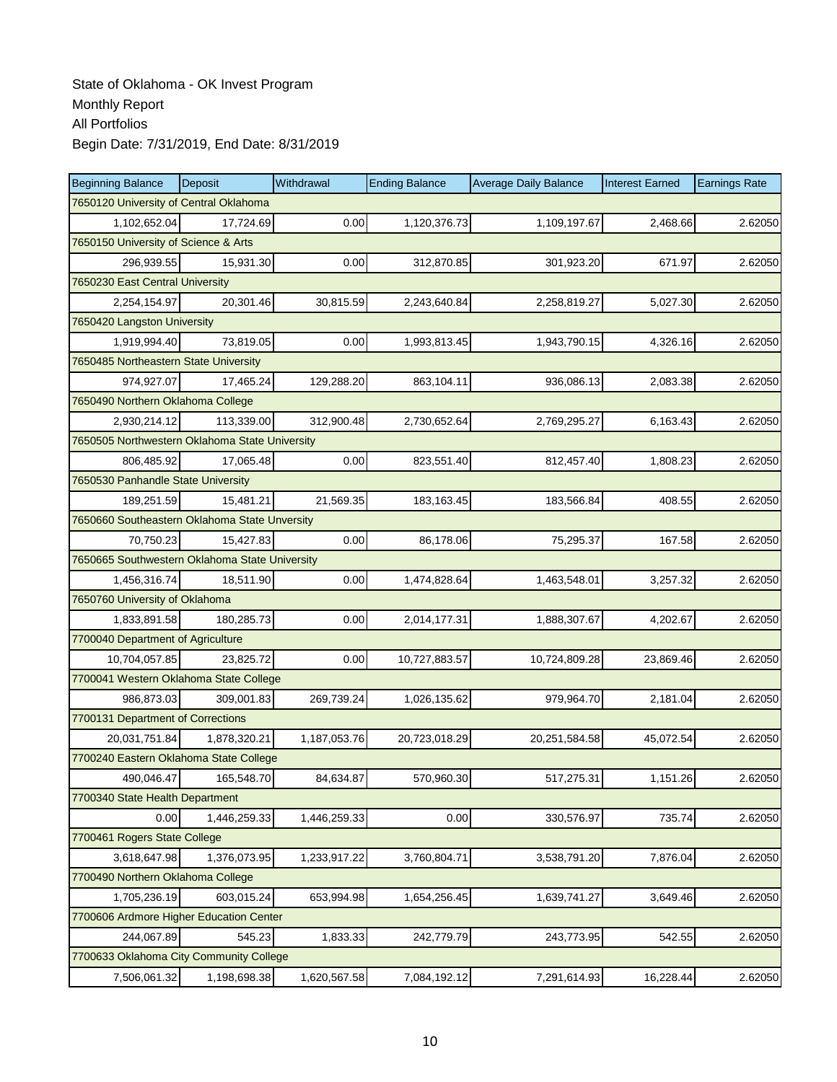| <b>Beginning Balance</b>                       | Deposit      | Withdrawal   | <b>Ending Balance</b> | <b>Average Daily Balance</b> | <b>Interest Earned</b> | <b>Earnings Rate</b> |  |  |
|------------------------------------------------|--------------|--------------|-----------------------|------------------------------|------------------------|----------------------|--|--|
| 7650120 University of Central Oklahoma         |              |              |                       |                              |                        |                      |  |  |
| 1,102,652.04                                   | 17,724.69    | 0.00         | 1,120,376.73          | 1,109,197.67                 | 2,468.66               | 2.62050              |  |  |
| 7650150 University of Science & Arts           |              |              |                       |                              |                        |                      |  |  |
| 296,939.55                                     | 15,931.30    | 0.00         | 312,870.85            | 301,923.20                   | 671.97                 | 2.62050              |  |  |
| 7650230 East Central University                |              |              |                       |                              |                        |                      |  |  |
| 2,254,154.97                                   | 20,301.46    | 30,815.59    | 2,243,640.84          | 2,258,819.27                 | 5,027.30               | 2.62050              |  |  |
| 7650420 Langston University                    |              |              |                       |                              |                        |                      |  |  |
| 1,919,994.40                                   | 73,819.05    | 0.00         | 1,993,813.45          | 1,943,790.15                 | 4,326.16               | 2.62050              |  |  |
| 7650485 Northeastern State University          |              |              |                       |                              |                        |                      |  |  |
| 974,927.07                                     | 17,465.24    | 129,288.20   | 863,104.11            | 936,086.13                   | 2,083.38               | 2.62050              |  |  |
| 7650490 Northern Oklahoma College              |              |              |                       |                              |                        |                      |  |  |
| 2,930,214.12                                   | 113,339.00   | 312,900.48   | 2,730,652.64          | 2,769,295.27                 | 6,163.43               | 2.62050              |  |  |
| 7650505 Northwestern Oklahoma State University |              |              |                       |                              |                        |                      |  |  |
| 806,485.92                                     | 17,065.48    | 0.00         | 823,551.40            | 812,457.40                   | 1,808.23               | 2.62050              |  |  |
| 7650530 Panhandle State University             |              |              |                       |                              |                        |                      |  |  |
| 189,251.59                                     | 15,481.21    | 21,569.35    | 183,163.45            | 183,566.84                   | 408.55                 | 2.62050              |  |  |
| 7650660 Southeastern Oklahoma State Unversity  |              |              |                       |                              |                        |                      |  |  |
| 70,750.23                                      | 15,427.83    | 0.00         | 86,178.06             | 75,295.37                    | 167.58                 | 2.62050              |  |  |
| 7650665 Southwestern Oklahoma State University |              |              |                       |                              |                        |                      |  |  |
| 1,456,316.74                                   | 18,511.90    | 0.00         | 1,474,828.64          | 1,463,548.01                 | 3,257.32               | 2.62050              |  |  |
| 7650760 University of Oklahoma                 |              |              |                       |                              |                        |                      |  |  |
| 1,833,891.58                                   | 180,285.73   | 0.00         | 2,014,177.31          | 1,888,307.67                 | 4,202.67               | 2.62050              |  |  |
| 7700040 Department of Agriculture              |              |              |                       |                              |                        |                      |  |  |
| 10,704,057.85                                  | 23,825.72    | 0.00         | 10,727,883.57         | 10,724,809.28                | 23,869.46              | 2.62050              |  |  |
| 7700041 Western Oklahoma State College         |              |              |                       |                              |                        |                      |  |  |
| 986,873.03                                     | 309,001.83   | 269,739.24   | 1,026,135.62          | 979,964.70                   | 2,181.04               | 2.62050              |  |  |
| 7700131 Department of Corrections              |              |              |                       |                              |                        |                      |  |  |
| 20,031,751.84                                  | 1,878,320.21 | 1,187,053.76 | 20,723,018.29         | 20,251,584.58                | 45,072.54              | 2.62050              |  |  |
| 7700240 Eastern Oklahoma State College         |              |              |                       |                              |                        |                      |  |  |
| 490,046.47                                     | 165,548.70   | 84,634.87    | 570,960.30            | 517,275.31                   | 1,151.26               | 2.62050              |  |  |
| 7700340 State Health Department                |              |              |                       |                              |                        |                      |  |  |
| 0.00                                           | 1,446,259.33 | 1,446,259.33 | 0.00                  | 330,576.97                   | 735.74                 | 2.62050              |  |  |
| 7700461 Rogers State College                   |              |              |                       |                              |                        |                      |  |  |
| 3,618,647.98                                   | 1,376,073.95 | 1,233,917.22 | 3,760,804.71          | 3,538,791.20                 | 7,876.04               | 2.62050              |  |  |
| 7700490 Northern Oklahoma College              |              |              |                       |                              |                        |                      |  |  |
| 1,705,236.19                                   | 603,015.24   | 653,994.98   | 1,654,256.45          | 1,639,741.27                 | 3,649.46               | 2.62050              |  |  |
| 7700606 Ardmore Higher Education Center        |              |              |                       |                              |                        |                      |  |  |
| 244,067.89                                     | 545.23       | 1,833.33     | 242,779.79            | 243,773.95                   | 542.55                 | 2.62050              |  |  |
| 7700633 Oklahoma City Community College        |              |              |                       |                              |                        |                      |  |  |
| 7,506,061.32                                   | 1,198,698.38 | 1,620,567.58 | 7,084,192.12          | 7,291,614.93                 | 16,228.44              | 2.62050              |  |  |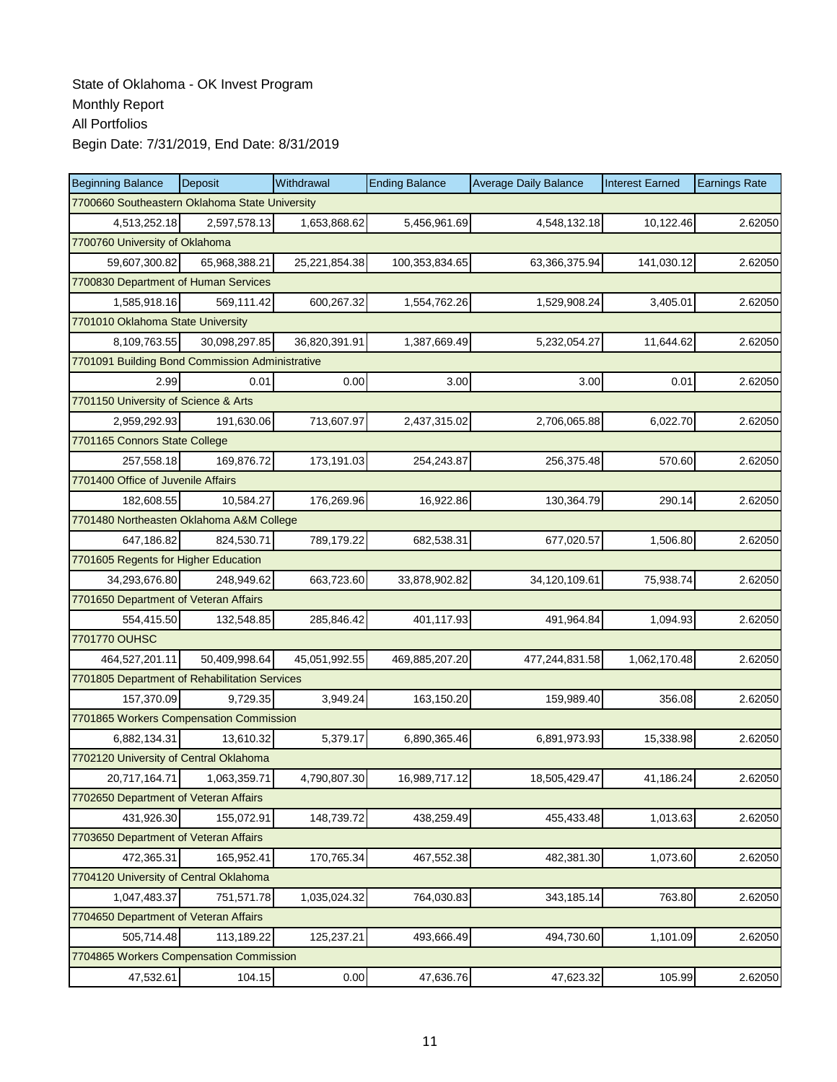| <b>Beginning Balance</b>                        | Deposit                              | Withdrawal    | <b>Ending Balance</b> | <b>Average Daily Balance</b> | <b>Interest Earned</b> | <b>Earnings Rate</b> |  |  |  |  |
|-------------------------------------------------|--------------------------------------|---------------|-----------------------|------------------------------|------------------------|----------------------|--|--|--|--|
| 7700660 Southeastern Oklahoma State University  |                                      |               |                       |                              |                        |                      |  |  |  |  |
| 4,513,252.18                                    | 2,597,578.13                         | 1,653,868.62  | 5,456,961.69          | 4,548,132.18                 | 10,122.46              | 2.62050              |  |  |  |  |
| 7700760 University of Oklahoma                  |                                      |               |                       |                              |                        |                      |  |  |  |  |
| 59,607,300.82                                   | 65,968,388.21                        | 25,221,854.38 | 100,353,834.65        | 63,366,375.94                | 141,030.12             | 2.62050              |  |  |  |  |
|                                                 | 7700830 Department of Human Services |               |                       |                              |                        |                      |  |  |  |  |
| 1,585,918.16                                    | 569,111.42                           | 600,267.32    | 1,554,762.26          | 1,529,908.24                 | 3,405.01               | 2.62050              |  |  |  |  |
| 7701010 Oklahoma State University               |                                      |               |                       |                              |                        |                      |  |  |  |  |
| 8,109,763.55                                    | 30,098,297.85                        | 36,820,391.91 | 1,387,669.49          | 5,232,054.27                 | 11,644.62              | 2.62050              |  |  |  |  |
| 7701091 Building Bond Commission Administrative |                                      |               |                       |                              |                        |                      |  |  |  |  |
| 2.99                                            | 0.01                                 | 0.00          | 3.00                  | 3.00                         | 0.01                   | 2.62050              |  |  |  |  |
| 7701150 University of Science & Arts            |                                      |               |                       |                              |                        |                      |  |  |  |  |
| 2,959,292.93                                    | 191,630.06                           | 713,607.97    | 2,437,315.02          | 2,706,065.88                 | 6,022.70               | 2.62050              |  |  |  |  |
| 7701165 Connors State College                   |                                      |               |                       |                              |                        |                      |  |  |  |  |
| 257,558.18                                      | 169,876.72                           | 173,191.03    | 254,243.87            | 256,375.48                   | 570.60                 | 2.62050              |  |  |  |  |
| 7701400 Office of Juvenile Affairs              |                                      |               |                       |                              |                        |                      |  |  |  |  |
| 182,608.55                                      | 10,584.27                            | 176,269.96    | 16,922.86             | 130,364.79                   | 290.14                 | 2.62050              |  |  |  |  |
| 7701480 Northeasten Oklahoma A&M College        |                                      |               |                       |                              |                        |                      |  |  |  |  |
| 647,186.82                                      | 824,530.71                           | 789,179.22    | 682,538.31            | 677,020.57                   | 1,506.80               | 2.62050              |  |  |  |  |
| 7701605 Regents for Higher Education            |                                      |               |                       |                              |                        |                      |  |  |  |  |
| 34,293,676.80                                   | 248,949.62                           | 663,723.60    | 33,878,902.82         | 34,120,109.61                | 75,938.74              | 2.62050              |  |  |  |  |
| 7701650 Department of Veteran Affairs           |                                      |               |                       |                              |                        |                      |  |  |  |  |
| 554,415.50                                      | 132,548.85                           | 285,846.42    | 401,117.93            | 491,964.84                   | 1,094.93               | 2.62050              |  |  |  |  |
| 7701770 OUHSC                                   |                                      |               |                       |                              |                        |                      |  |  |  |  |
| 464,527,201.11                                  | 50,409,998.64                        | 45,051,992.55 | 469,885,207.20        | 477,244,831.58               | 1,062,170.48           | 2.62050              |  |  |  |  |
| 7701805 Department of Rehabilitation Services   |                                      |               |                       |                              |                        |                      |  |  |  |  |
| 157,370.09                                      | 9,729.35                             | 3,949.24      | 163,150.20            | 159,989.40                   | 356.08                 | 2.62050              |  |  |  |  |
| 7701865 Workers Compensation Commission         |                                      |               |                       |                              |                        |                      |  |  |  |  |
| 6,882,134.31                                    | 13.610.32                            | 5,379.17      | 6,890,365.46          | 6,891,973.93                 | 15,338.98              | 2.62050              |  |  |  |  |
| 7702120 University of Central Oklahoma          |                                      |               |                       |                              |                        |                      |  |  |  |  |
| 20,717,164.71                                   | 1,063,359.71                         | 4,790,807.30  | 16,989,717.12         | 18,505,429.47                | 41,186.24              | 2.62050              |  |  |  |  |
| 7702650 Department of Veteran Affairs           |                                      |               |                       |                              |                        |                      |  |  |  |  |
| 431,926.30                                      | 155,072.91                           | 148,739.72    | 438,259.49            | 455,433.48                   | 1,013.63               | 2.62050              |  |  |  |  |
| 7703650 Department of Veteran Affairs           |                                      |               |                       |                              |                        |                      |  |  |  |  |
| 472,365.31                                      | 165,952.41                           | 170,765.34    | 467,552.38            | 482,381.30                   | 1,073.60               | 2.62050              |  |  |  |  |
| 7704120 University of Central Oklahoma          |                                      |               |                       |                              |                        |                      |  |  |  |  |
| 1,047,483.37                                    | 751,571.78                           | 1,035,024.32  | 764,030.83            | 343,185.14                   | 763.80                 | 2.62050              |  |  |  |  |
| 7704650 Department of Veteran Affairs           |                                      |               |                       |                              |                        |                      |  |  |  |  |
| 505,714.48                                      | 113,189.22                           | 125,237.21    | 493,666.49            | 494,730.60                   | 1,101.09               | 2.62050              |  |  |  |  |
| 7704865 Workers Compensation Commission         |                                      |               |                       |                              |                        |                      |  |  |  |  |
| 47,532.61                                       | 104.15                               | 0.00          | 47,636.76             | 47,623.32                    | 105.99                 | 2.62050              |  |  |  |  |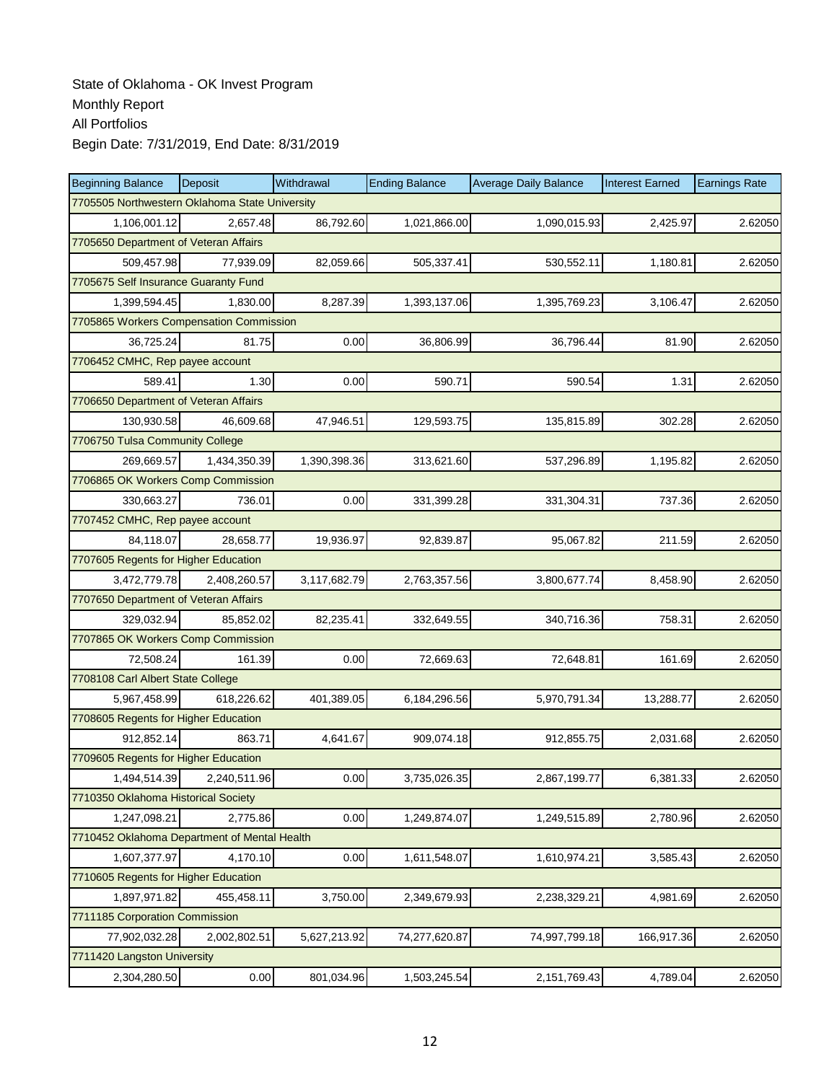| <b>Beginning Balance</b>                       | Deposit      | Withdrawal   | <b>Ending Balance</b> | <b>Average Daily Balance</b> | <b>Interest Earned</b> | <b>Earnings Rate</b> |  |  |  |
|------------------------------------------------|--------------|--------------|-----------------------|------------------------------|------------------------|----------------------|--|--|--|
| 7705505 Northwestern Oklahoma State University |              |              |                       |                              |                        |                      |  |  |  |
| 1,106,001.12                                   | 2,657.48     | 86,792.60    | 1,021,866.00          | 1,090,015.93                 | 2,425.97               | 2.62050              |  |  |  |
| 7705650 Department of Veteran Affairs          |              |              |                       |                              |                        |                      |  |  |  |
| 509,457.98                                     | 77,939.09    | 82,059.66    | 505,337.41            | 530,552.11                   | 1,180.81               | 2.62050              |  |  |  |
| 7705675 Self Insurance Guaranty Fund           |              |              |                       |                              |                        |                      |  |  |  |
| 1,399,594.45                                   | 1,830.00     | 8,287.39     | 1,393,137.06          | 1,395,769.23                 | 3,106.47               | 2.62050              |  |  |  |
| 7705865 Workers Compensation Commission        |              |              |                       |                              |                        |                      |  |  |  |
| 36,725.24                                      | 81.75        | 0.00         | 36,806.99             | 36,796.44                    | 81.90                  | 2.62050              |  |  |  |
| 7706452 CMHC, Rep payee account                |              |              |                       |                              |                        |                      |  |  |  |
| 589.41                                         | 1.30         | 0.00         | 590.71                | 590.54                       | 1.31                   | 2.62050              |  |  |  |
| 7706650 Department of Veteran Affairs          |              |              |                       |                              |                        |                      |  |  |  |
| 130,930.58                                     | 46,609.68    | 47,946.51    | 129,593.75            | 135,815.89                   | 302.28                 | 2.62050              |  |  |  |
| 7706750 Tulsa Community College                |              |              |                       |                              |                        |                      |  |  |  |
| 269,669.57                                     | 1,434,350.39 | 1,390,398.36 | 313,621.60            | 537,296.89                   | 1,195.82               | 2.62050              |  |  |  |
| 7706865 OK Workers Comp Commission             |              |              |                       |                              |                        |                      |  |  |  |
| 330,663.27                                     | 736.01       | 0.00         | 331,399.28            | 331,304.31                   | 737.36                 | 2.62050              |  |  |  |
| 7707452 CMHC, Rep payee account                |              |              |                       |                              |                        |                      |  |  |  |
| 84,118.07                                      | 28,658.77    | 19,936.97    | 92,839.87             | 95,067.82                    | 211.59                 | 2.62050              |  |  |  |
| 7707605 Regents for Higher Education           |              |              |                       |                              |                        |                      |  |  |  |
| 3,472,779.78                                   | 2,408,260.57 | 3,117,682.79 | 2,763,357.56          | 3,800,677.74                 | 8,458.90               | 2.62050              |  |  |  |
| 7707650 Department of Veteran Affairs          |              |              |                       |                              |                        |                      |  |  |  |
| 329,032.94                                     | 85,852.02    | 82,235.41    | 332,649.55            | 340,716.36                   | 758.31                 | 2.62050              |  |  |  |
| 7707865 OK Workers Comp Commission             |              |              |                       |                              |                        |                      |  |  |  |
| 72,508.24                                      | 161.39       | 0.00         | 72,669.63             | 72,648.81                    | 161.69                 | 2.62050              |  |  |  |
| 7708108 Carl Albert State College              |              |              |                       |                              |                        |                      |  |  |  |
| 5,967,458.99                                   | 618,226.62   | 401,389.05   | 6,184,296.56          | 5,970,791.34                 | 13,288.77              | 2.62050              |  |  |  |
| 7708605 Regents for Higher Education           |              |              |                       |                              |                        |                      |  |  |  |
| 912,852.14                                     | 863.71       | 4,641.67     | 909,074.18            | 912,855.75                   | 2,031.68               | 2.62050              |  |  |  |
| 7709605 Regents for Higher Education           |              |              |                       |                              |                        |                      |  |  |  |
| 1,494,514.39                                   | 2,240,511.96 | 0.00         | 3,735,026.35          | 2,867,199.77                 | 6,381.33               | 2.62050              |  |  |  |
| 7710350 Oklahoma Historical Society            |              |              |                       |                              |                        |                      |  |  |  |
| 1,247,098.21                                   | 2,775.86     | 0.00         | 1,249,874.07          | 1,249,515.89                 | 2,780.96               | 2.62050              |  |  |  |
| 7710452 Oklahoma Department of Mental Health   |              |              |                       |                              |                        |                      |  |  |  |
| 1,607,377.97                                   | 4,170.10     | 0.00         | 1,611,548.07          | 1,610,974.21                 | 3,585.43               | 2.62050              |  |  |  |
| 7710605 Regents for Higher Education           |              |              |                       |                              |                        |                      |  |  |  |
| 1,897,971.82                                   | 455,458.11   | 3,750.00     | 2,349,679.93          | 2,238,329.21                 | 4,981.69               | 2.62050              |  |  |  |
| 7711185 Corporation Commission                 |              |              |                       |                              |                        |                      |  |  |  |
| 77,902,032.28                                  | 2,002,802.51 | 5,627,213.92 | 74,277,620.87         | 74,997,799.18                | 166,917.36             | 2.62050              |  |  |  |
| 7711420 Langston University                    |              |              |                       |                              |                        |                      |  |  |  |
| 2,304,280.50                                   | 0.00         | 801,034.96   | 1,503,245.54          | 2,151,769.43                 | 4,789.04               | 2.62050              |  |  |  |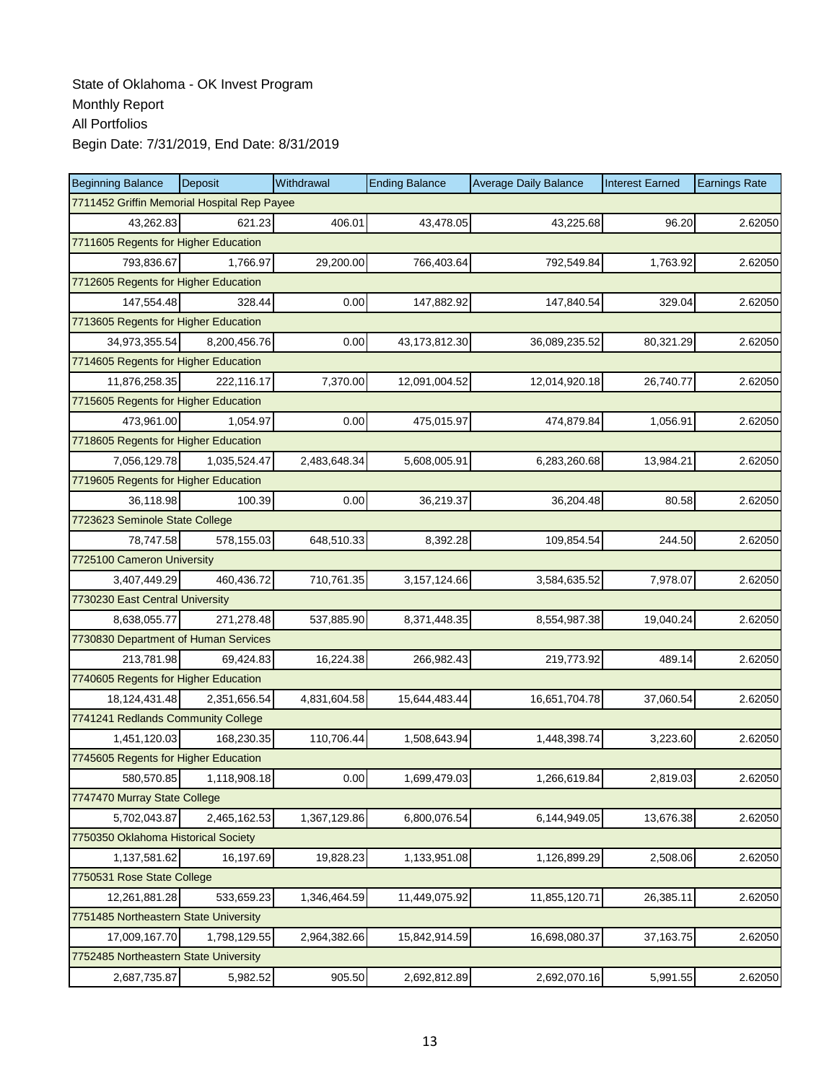| <b>Beginning Balance</b>                    | <b>Deposit</b> | Withdrawal   | <b>Ending Balance</b> | <b>Average Daily Balance</b> | <b>Interest Earned</b> | <b>Earnings Rate</b> |  |  |
|---------------------------------------------|----------------|--------------|-----------------------|------------------------------|------------------------|----------------------|--|--|
| 7711452 Griffin Memorial Hospital Rep Payee |                |              |                       |                              |                        |                      |  |  |
| 43,262.83                                   | 621.23         | 406.01       | 43,478.05             | 43,225.68                    | 96.20                  | 2.62050              |  |  |
| 7711605 Regents for Higher Education        |                |              |                       |                              |                        |                      |  |  |
| 793,836.67                                  | 1,766.97       | 29,200.00    | 766,403.64            | 792,549.84                   | 1,763.92               | 2.62050              |  |  |
| 7712605 Regents for Higher Education        |                |              |                       |                              |                        |                      |  |  |
| 147,554.48                                  | 328.44         | 0.00         | 147,882.92            | 147,840.54                   | 329.04                 | 2.62050              |  |  |
| 7713605 Regents for Higher Education        |                |              |                       |                              |                        |                      |  |  |
| 34,973,355.54                               | 8,200,456.76   | 0.00         | 43,173,812.30         | 36,089,235.52                | 80,321.29              | 2.62050              |  |  |
| 7714605 Regents for Higher Education        |                |              |                       |                              |                        |                      |  |  |
| 11,876,258.35                               | 222,116.17     | 7,370.00     | 12,091,004.52         | 12,014,920.18                | 26,740.77              | 2.62050              |  |  |
| 7715605 Regents for Higher Education        |                |              |                       |                              |                        |                      |  |  |
| 473,961.00                                  | 1,054.97       | 0.00         | 475,015.97            | 474,879.84                   | 1,056.91               | 2.62050              |  |  |
| 7718605 Regents for Higher Education        |                |              |                       |                              |                        |                      |  |  |
| 7.056.129.78                                | 1,035,524.47   | 2,483,648.34 | 5,608,005.91          | 6,283,260.68                 | 13,984.21              | 2.62050              |  |  |
| 7719605 Regents for Higher Education        |                |              |                       |                              |                        |                      |  |  |
| 36,118.98                                   | 100.39         | 0.00         | 36,219.37             | 36,204.48                    | 80.58                  | 2.62050              |  |  |
| 7723623 Seminole State College              |                |              |                       |                              |                        |                      |  |  |
| 78,747.58                                   | 578,155.03     | 648,510.33   | 8,392.28              | 109,854.54                   | 244.50                 | 2.62050              |  |  |
| 7725100 Cameron University                  |                |              |                       |                              |                        |                      |  |  |
| 3,407,449.29                                | 460,436.72     | 710,761.35   | 3,157,124.66          | 3,584,635.52                 | 7,978.07               | 2.62050              |  |  |
| 7730230 East Central University             |                |              |                       |                              |                        |                      |  |  |
| 8,638,055.77                                | 271,278.48     | 537,885.90   | 8,371,448.35          | 8,554,987.38                 | 19,040.24              | 2.62050              |  |  |
| 7730830 Department of Human Services        |                |              |                       |                              |                        |                      |  |  |
| 213,781.98                                  | 69,424.83      | 16,224.38    | 266,982.43            | 219,773.92                   | 489.14                 | 2.62050              |  |  |
| 7740605 Regents for Higher Education        |                |              |                       |                              |                        |                      |  |  |
| 18,124,431.48                               | 2,351,656.54   | 4,831,604.58 | 15,644,483.44         | 16,651,704.78                | 37,060.54              | 2.62050              |  |  |
| 7741241 Redlands Community College          |                |              |                       |                              |                        |                      |  |  |
| 1,451,120.03                                | 168,230.35     | 110,706.44   | 1,508,643.94          | 1,448,398.74                 | 3,223.60               | 2.62050              |  |  |
| 7745605 Regents for Higher Education        |                |              |                       |                              |                        |                      |  |  |
| 580,570.85                                  | 1,118,908.18   | 0.00         | 1,699,479.03          | 1,266,619.84                 | 2,819.03               | 2.62050              |  |  |
| 7747470 Murray State College                |                |              |                       |                              |                        |                      |  |  |
| 5,702,043.87                                | 2,465,162.53   | 1,367,129.86 | 6,800,076.54          | 6,144,949.05                 | 13,676.38              | 2.62050              |  |  |
| 7750350 Oklahoma Historical Society         |                |              |                       |                              |                        |                      |  |  |
| 1,137,581.62                                | 16,197.69      | 19,828.23    | 1,133,951.08          | 1,126,899.29                 | 2,508.06               | 2.62050              |  |  |
| 7750531 Rose State College                  |                |              |                       |                              |                        |                      |  |  |
| 12,261,881.28                               | 533,659.23     | 1,346,464.59 | 11,449,075.92         | 11,855,120.71                | 26,385.11              | 2.62050              |  |  |
| 7751485 Northeastern State University       |                |              |                       |                              |                        |                      |  |  |
| 17,009,167.70                               | 1,798,129.55   | 2,964,382.66 | 15,842,914.59         | 16,698,080.37                | 37,163.75              | 2.62050              |  |  |
| 7752485 Northeastern State University       |                |              |                       |                              |                        |                      |  |  |
| 2,687,735.87                                | 5,982.52       | 905.50       | 2,692,812.89          | 2,692,070.16                 | 5,991.55               | 2.62050              |  |  |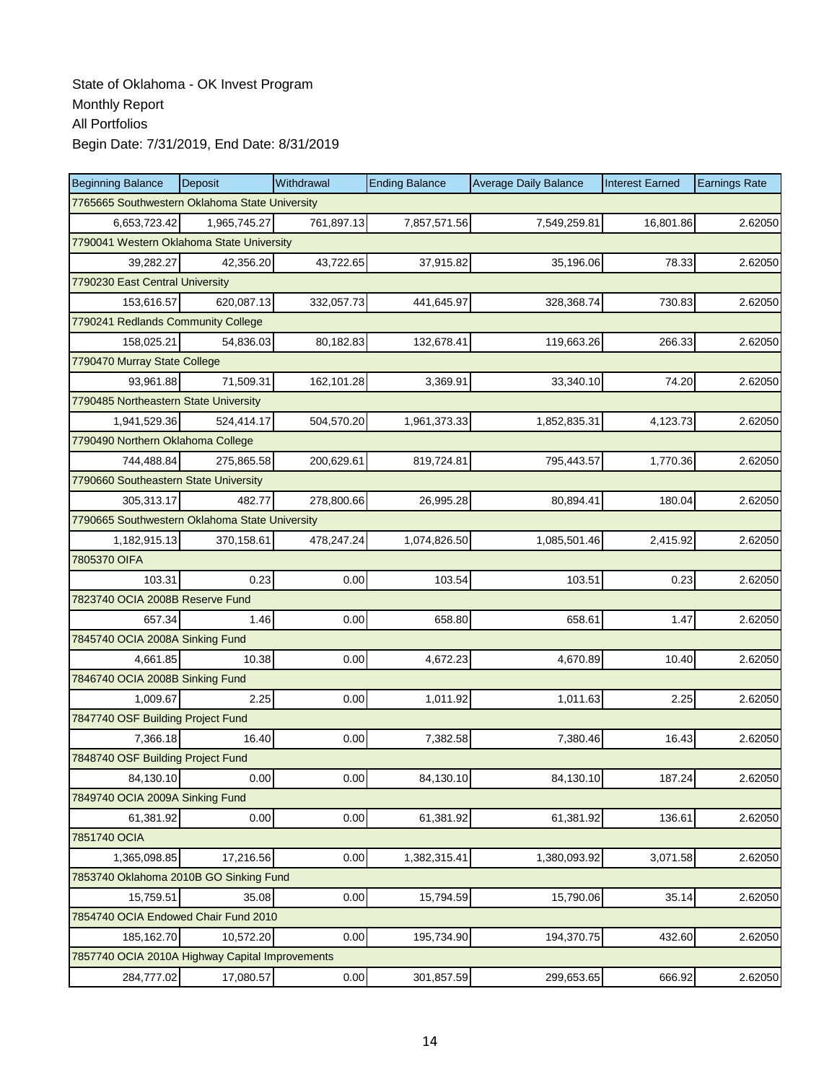| <b>Beginning Balance</b>                        | Deposit      | Withdrawal | <b>Ending Balance</b> | <b>Average Daily Balance</b> | <b>Interest Earned</b> | <b>Earnings Rate</b> |  |  |
|-------------------------------------------------|--------------|------------|-----------------------|------------------------------|------------------------|----------------------|--|--|
| 7765665 Southwestern Oklahoma State University  |              |            |                       |                              |                        |                      |  |  |
| 6,653,723.42                                    | 1,965,745.27 | 761,897.13 | 7,857,571.56          | 7,549,259.81                 | 16,801.86              | 2.62050              |  |  |
| 7790041 Western Oklahoma State University       |              |            |                       |                              |                        |                      |  |  |
| 39,282.27                                       | 42,356.20    | 43,722.65  | 37,915.82             | 35,196.06                    | 78.33                  | 2.62050              |  |  |
| 7790230 East Central University                 |              |            |                       |                              |                        |                      |  |  |
| 153,616.57                                      | 620,087.13   | 332,057.73 | 441,645.97            | 328,368.74                   | 730.83                 | 2.62050              |  |  |
| 7790241 Redlands Community College              |              |            |                       |                              |                        |                      |  |  |
| 158,025.21                                      | 54,836.03    | 80,182.83  | 132,678.41            | 119,663.26                   | 266.33                 | 2.62050              |  |  |
| 7790470 Murray State College                    |              |            |                       |                              |                        |                      |  |  |
| 93,961.88                                       | 71,509.31    | 162,101.28 | 3,369.91              | 33,340.10                    | 74.20                  | 2.62050              |  |  |
| 7790485 Northeastern State University           |              |            |                       |                              |                        |                      |  |  |
| 1,941,529.36                                    | 524,414.17   | 504,570.20 | 1,961,373.33          | 1,852,835.31                 | 4,123.73               | 2.62050              |  |  |
| 7790490 Northern Oklahoma College               |              |            |                       |                              |                        |                      |  |  |
| 744,488.84                                      | 275,865.58   | 200,629.61 | 819,724.81            | 795,443.57                   | 1,770.36               | 2.62050              |  |  |
| 7790660 Southeastern State University           |              |            |                       |                              |                        |                      |  |  |
| 305,313.17                                      | 482.77       | 278,800.66 | 26,995.28             | 80,894.41                    | 180.04                 | 2.62050              |  |  |
| 7790665 Southwestern Oklahoma State University  |              |            |                       |                              |                        |                      |  |  |
| 1,182,915.13                                    | 370,158.61   | 478,247.24 | 1,074,826.50          | 1,085,501.46                 | 2,415.92               | 2.62050              |  |  |
| 7805370 OIFA                                    |              |            |                       |                              |                        |                      |  |  |
| 103.31                                          | 0.23         | 0.00       | 103.54                | 103.51                       | 0.23                   | 2.62050              |  |  |
| 7823740 OCIA 2008B Reserve Fund                 |              |            |                       |                              |                        |                      |  |  |
| 657.34                                          | 1.46         | 0.00       | 658.80                | 658.61                       | 1.47                   | 2.62050              |  |  |
| 7845740 OCIA 2008A Sinking Fund                 |              |            |                       |                              |                        |                      |  |  |
| 4,661.85                                        | 10.38        | 0.00       | 4,672.23              | 4,670.89                     | 10.40                  | 2.62050              |  |  |
| 7846740 OCIA 2008B Sinking Fund                 |              |            |                       |                              |                        |                      |  |  |
| 1,009.67                                        | 2.25         | 0.00       | 1,011.92              | 1,011.63                     | 2.25                   | 2.62050              |  |  |
| 7847740 OSF Building Project Fund               |              |            |                       |                              |                        |                      |  |  |
| 7,366.18                                        | 16.40        | 0.00       | 7,382.58              | 7,380.46                     | 16.43                  | 2.62050              |  |  |
| 7848740 OSF Building Project Fund               |              |            |                       |                              |                        |                      |  |  |
| 84,130.10                                       | 0.00         | 0.00       | 84,130.10             | 84,130.10                    | 187.24                 | 2.62050              |  |  |
| 7849740 OCIA 2009A Sinking Fund                 |              |            |                       |                              |                        |                      |  |  |
| 61,381.92                                       | 0.00         | 0.00       | 61,381.92             | 61,381.92                    | 136.61                 | 2.62050              |  |  |
| 7851740 OCIA                                    |              |            |                       |                              |                        |                      |  |  |
| 1,365,098.85                                    | 17,216.56    | 0.00       | 1,382,315.41          | 1,380,093.92                 | 3,071.58               | 2.62050              |  |  |
| 7853740 Oklahoma 2010B GO Sinking Fund          |              |            |                       |                              |                        |                      |  |  |
| 15,759.51                                       | 35.08        | 0.00       | 15,794.59             | 15,790.06                    | 35.14                  | 2.62050              |  |  |
| 7854740 OCIA Endowed Chair Fund 2010            |              |            |                       |                              |                        |                      |  |  |
| 185,162.70                                      | 10,572.20    | 0.00       | 195,734.90            | 194,370.75                   | 432.60                 | 2.62050              |  |  |
| 7857740 OCIA 2010A Highway Capital Improvements |              |            |                       |                              |                        |                      |  |  |
| 284,777.02                                      | 17,080.57    | 0.00       | 301,857.59            | 299,653.65                   | 666.92                 | 2.62050              |  |  |